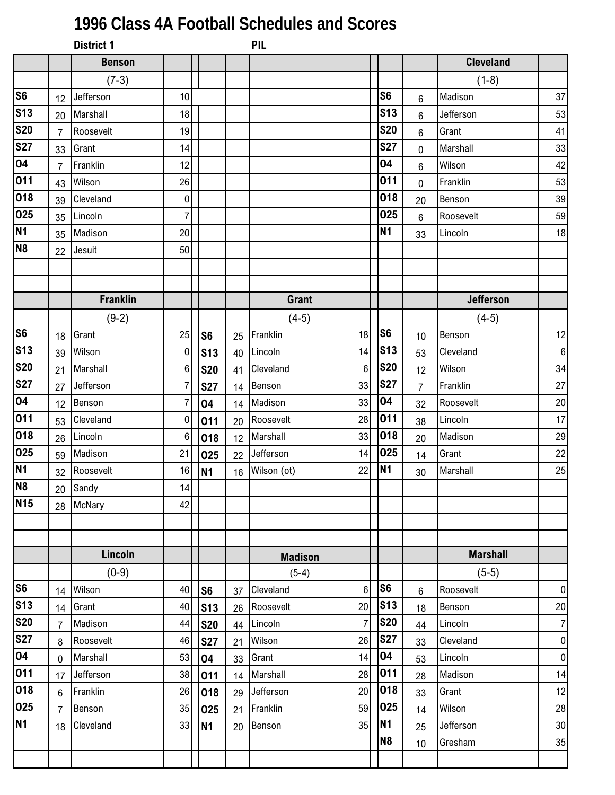## **1996 Class 4A Football Schedules and Scores**

|                          |                | <b>District 1</b> |           |                 |    | PIL            |                |                 |                |                  |                  |
|--------------------------|----------------|-------------------|-----------|-----------------|----|----------------|----------------|-----------------|----------------|------------------|------------------|
|                          |                | <b>Benson</b>     |           |                 |    |                |                |                 |                | <b>Cleveland</b> |                  |
|                          |                | $(7-3)$           |           |                 |    |                |                |                 |                | $(1-8)$          |                  |
| s6                       | 12             | Jefferson         | 10        |                 |    |                |                | S <sub>6</sub>  | 6              | Madison          | 37               |
| <b>S13</b>               | 20             | Marshall          | 18        |                 |    |                |                | S <sub>13</sub> | 6              | Jefferson        | 53               |
| <b>S20</b>               | $\overline{7}$ | Roosevelt         | 19        |                 |    |                |                | <b>S20</b>      | 6              | Grant            | 41               |
| <b>S27</b>               | 33             | Grant             | 14        |                 |    |                |                | <b>S27</b>      | $\overline{0}$ | Marshall         | 33               |
| 04                       | $\overline{7}$ | Franklin          | 12        |                 |    |                |                | 04              | 6              | Wilson           | 42               |
| 011                      | 43             | Wilson            | 26        |                 |    |                |                | 011             | $\overline{0}$ | Franklin         | 53               |
| 018                      | 39             | Cleveland         | 0         |                 |    |                |                | 018             | 20             | Benson           | 39               |
| 025                      | 35             | Lincoln           | 7         |                 |    |                |                | 025             | 6              | Roosevelt        | 59               |
| N <sub>1</sub>           | 35             | Madison           | 20        |                 |    |                |                | <b>N1</b>       | 33             | Lincoln          | 18               |
| N <sub>8</sub>           | 22             | Jesuit            | 50        |                 |    |                |                |                 |                |                  |                  |
|                          |                |                   |           |                 |    |                |                |                 |                |                  |                  |
|                          |                |                   |           |                 |    |                |                |                 |                |                  |                  |
|                          |                | <b>Franklin</b>   |           |                 |    | <b>Grant</b>   |                |                 |                | <b>Jefferson</b> |                  |
|                          |                | $(9-2)$           |           |                 |    | $(4-5)$        |                |                 |                | $(4-5)$          |                  |
| s6                       | 18             | Grant             | 25        | S <sub>6</sub>  | 25 | Franklin       | 18             | S <sub>6</sub>  | 10             | Benson           | 12               |
| $\overline{\text{S}}$ 13 | 39             | Wilson            | $\pmb{0}$ | <b>S13</b>      | 40 | Lincoln        | 14             | <b>S13</b>      | 53             | Cleveland        | $\,6\,$          |
| <b>S20</b>               | 21             | Marshall          | $\,6$     | <b>S20</b>      | 41 | Cleveland      | 6              | <b>S20</b>      | 12             | Wilson           | 34               |
| <b>S27</b>               | 27             | Jefferson         | 7         | <b>S27</b>      | 14 | Benson         | 33             | <b>S27</b>      | $\overline{7}$ | Franklin         | 27               |
| 04                       | 12             | Benson            | 7         | 04              | 14 | Madison        | 33             | 04              | 32             | Roosevelt        | 20               |
| $\overline{0}11$         | 53             | Cleveland         | 0         | 011             | 20 | Roosevelt      | 28             | 011             | 38             | Lincoln          | 17               |
| 018                      | 26             | Lincoln           | 6         | 018             | 12 | Marshall       | 33             | 018             | 20             | Madison          | 29               |
| 025                      | 59             | Madison           | 21        | 025             | 22 | Jefferson      | 14             | 025             | 14             | Grant            | 22               |
| N <sub>1</sub>           | 32             | Roosevelt         | 16        | N <sub>1</sub>  | 16 | Wilson (ot)    | 22             | <b>N1</b>       | 30             | Marshall         | 25               |
| N <sub>8</sub>           |                | 20 Sandy          | 14        |                 |    |                |                |                 |                |                  |                  |
| <b>N15</b>               | 28             | <b>McNary</b>     | 42        |                 |    |                |                |                 |                |                  |                  |
|                          |                |                   |           |                 |    |                |                |                 |                |                  |                  |
|                          |                |                   |           |                 |    |                |                |                 |                |                  |                  |
|                          |                | Lincoln           |           |                 |    | <b>Madison</b> |                |                 |                | <b>Marshall</b>  |                  |
|                          |                | $(0-9)$           |           |                 |    | $(5-4)$        |                |                 |                | $(5-5)$          |                  |
| s6                       | 14             | Wilson            | 40        | S <sub>6</sub>  | 37 | Cleveland      | 6              | S <sub>6</sub>  | 6              | Roosevelt        | $\pmb{0}$        |
| S <sub>13</sub>          | 14             | Grant             | 40        | S <sub>13</sub> | 26 | Roosevelt      | 20             | <b>S13</b>      | 18             | Benson           | 20               |
| <b>S20</b>               | $\overline{7}$ | Madison           | 44        | <b>S20</b>      | 44 | Lincoln        | $\overline{7}$ | <b>S20</b>      | 44             | Lincoln          | $\overline{7}$   |
| <b>S27</b>               | 8              | Roosevelt         | 46        | <b>S27</b>      | 21 | Wilson         | 26             | <b>S27</b>      | 33             | Cleveland        | $\pmb{0}$        |
| 04                       | $\mathbf 0$    | Marshall          | 53        | 04              | 33 | Grant          | 14             | 04              | 53             | Lincoln          | $\boldsymbol{0}$ |
| $\overline{011}$         | 17             | Jefferson         | 38        | 011             | 14 | Marshall       | 28             | 011             | 28             | Madison          | 14               |
| 018                      | 6              | Franklin          | 26        | 018             | 29 | Jefferson      | 20             | 018             | 33             | Grant            | 12               |
| 025                      | $\overline{7}$ | Benson            | 35        | 025             | 21 | Franklin       | 59             | 025             | 14             | Wilson           | 28               |
| N <sub>1</sub>           | 18             | Cleveland         | 33        | N <sub>1</sub>  | 20 | Benson         | 35             | N <sub>1</sub>  | 25             | Jefferson        | 30               |
|                          |                |                   |           |                 |    |                |                | N <sub>8</sub>  | 10             | Gresham          | 35               |
|                          |                |                   |           |                 |    |                |                |                 |                |                  |                  |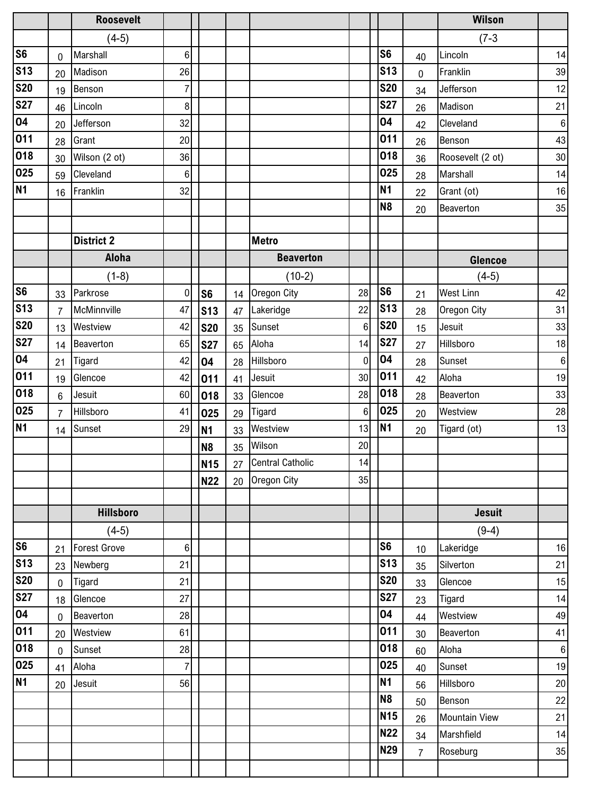|                |                | <b>Roosevelt</b>    |                |                 |    |                     |                |                |                | Wilson               |                  |
|----------------|----------------|---------------------|----------------|-----------------|----|---------------------|----------------|----------------|----------------|----------------------|------------------|
|                |                | $(4-5)$             |                |                 |    |                     |                |                |                | $(7-3)$              |                  |
| S <sub>6</sub> | 0              | Marshall            | $6\phantom{.}$ |                 |    |                     |                | S <sub>6</sub> | 40             | Lincoln              | 14               |
| <b>S13</b>     | 20             | Madison             | 26             |                 |    |                     |                | <b>S13</b>     | $\overline{0}$ | Franklin             | 39               |
| <b>S20</b>     | 19             | Benson              | $\overline{7}$ |                 |    |                     |                | <b>S20</b>     | 34             | Jefferson            | 12               |
| <b>S27</b>     | 46             | Lincoln             | 8              |                 |    |                     |                | <b>S27</b>     | 26             | Madison              | 21               |
| 04             | 20             | Jefferson           | 32             |                 |    |                     |                | 04             | 42             | Cleveland            | $\,6\,$          |
| 011            | 28             | Grant               | 20             |                 |    |                     |                | 011            | 26             | Benson               | 43               |
| 018            | 30             | Wilson (2 ot)       | 36             |                 |    |                     |                | 018            | 36             | Roosevelt (2 ot)     | 30               |
| 025            | 59             | Cleveland           | $\,6$          |                 |    |                     |                | 025            | 28             | Marshall             | 14               |
| <b>N1</b>      | 16             | Franklin            | 32             |                 |    |                     |                | <b>N1</b>      | 22             | Grant (ot)           | $16\,$           |
|                |                |                     |                |                 |    |                     |                | N <sub>8</sub> | 20             | Beaverton            | 35               |
|                |                |                     |                |                 |    |                     |                |                |                |                      |                  |
|                |                | <b>District 2</b>   |                |                 |    | <b>Metro</b>        |                |                |                |                      |                  |
|                |                | <b>Aloha</b>        |                |                 |    | <b>Beaverton</b>    |                |                |                | <b>Glencoe</b>       |                  |
|                |                | $(1-8)$             |                |                 |    | $(10-2)$            |                |                |                | $(4-5)$              |                  |
| S <sub>6</sub> | 33             | Parkrose            | $\mathbf 0$    | S <sub>6</sub>  | 14 | Oregon City         | 28             | S <sub>6</sub> | 21             | <b>West Linn</b>     | 42               |
| <b>S13</b>     | $\overline{7}$ | McMinnville         | 47             | S <sub>13</sub> | 47 | Lakeridge           | 22             | <b>S13</b>     | 28             | Oregon City          | 31               |
| <b>S20</b>     | 13             | Westview            | 42             | <b>S20</b>      | 35 | Sunset              | $6\phantom{1}$ | <b>S20</b>     | 15             | Jesuit               | 33               |
| <b>S27</b>     | 14             | Beaverton           | 65             | <b>S27</b>      | 65 | Aloha               | 14             | <b>S27</b>     | 27             | Hillsboro            | 18               |
| 04             | 21             | Tigard              | 42             | 04              | 28 | Hillsboro           | $\mathbf 0$    | 04             | 28             | Sunset               | $\,6\,$          |
| 011            | 19             | Glencoe             | 42             | 011             | 41 | Jesuit              | 30             | 011            | 42             | Aloha                | 19               |
| 018            | 6              | Jesuit              | 60             | 018             | 33 | Glencoe             | 28             | 018            | 28             | Beaverton            | 33               |
| 025            | $\overline{7}$ | Hillsboro           | 41             | 025             | 29 | Tigard              | $6\phantom{1}$ | 025            | 20             | Westview             | 28               |
| <b>N1</b>      | 14             | Sunset              | 29             | N <sub>1</sub>  | 33 | Westview            | 13             | <b>N1</b>      | 20             | Tigard (ot)          | 13               |
|                |                |                     |                | N <sub>8</sub>  | 35 | Wilson              | 20             |                |                |                      |                  |
|                |                |                     |                | <b>N15</b>      |    | 27 Central Catholic | 14             |                |                |                      |                  |
|                |                |                     |                | <b>N22</b>      | 20 | Oregon City         | 35             |                |                |                      |                  |
|                |                |                     |                |                 |    |                     |                |                |                |                      |                  |
|                |                | <b>Hillsboro</b>    |                |                 |    |                     |                |                |                | <b>Jesuit</b>        |                  |
|                |                | $(4-5)$             |                |                 |    |                     |                |                |                | $(9-4)$              |                  |
| S <sub>6</sub> | 21             | <b>Forest Grove</b> | 6              |                 |    |                     |                | S <sub>6</sub> | 10             | Lakeridge            | 16               |
| <b>S13</b>     | 23             | Newberg             | 21             |                 |    |                     |                | <b>S13</b>     | 35             | Silverton            | 21               |
| <b>S20</b>     | $\pmb{0}$      | Tigard              | 21             |                 |    |                     |                | <b>S20</b>     | 33             | Glencoe              | 15               |
| <b>S27</b>     | 18             | Glencoe             | 27             |                 |    |                     |                | <b>S27</b>     | 23             | Tigard               | 14               |
| 04             | $\pmb{0}$      | Beaverton           | 28             |                 |    |                     |                | 04             | 44             | Westview             | 49               |
| 011            | 20             | Westview            | 61             |                 |    |                     |                | 011            | 30             | Beaverton            | 41               |
| 018            | $\mathbf 0$    | Sunset              | 28             |                 |    |                     |                | 018            | 60             | Aloha                | $\boldsymbol{6}$ |
| 025            | 41             | Aloha               | $\overline{7}$ |                 |    |                     |                | 025            | 40             | Sunset               | 19               |
| <b>N1</b>      | 20             | Jesuit              | 56             |                 |    |                     |                | <b>N1</b>      | 56             | Hillsboro            | $20\,$           |
|                |                |                     |                |                 |    |                     |                | N <sub>8</sub> | 50             | Benson               | 22               |
|                |                |                     |                |                 |    |                     |                | <b>N15</b>     | 26             | <b>Mountain View</b> | 21               |
|                |                |                     |                |                 |    |                     |                | <b>N22</b>     | 34             | Marshfield           | 14               |
|                |                |                     |                |                 |    |                     |                | <b>N29</b>     | $\overline{7}$ | Roseburg             | 35               |
|                |                |                     |                |                 |    |                     |                |                |                |                      |                  |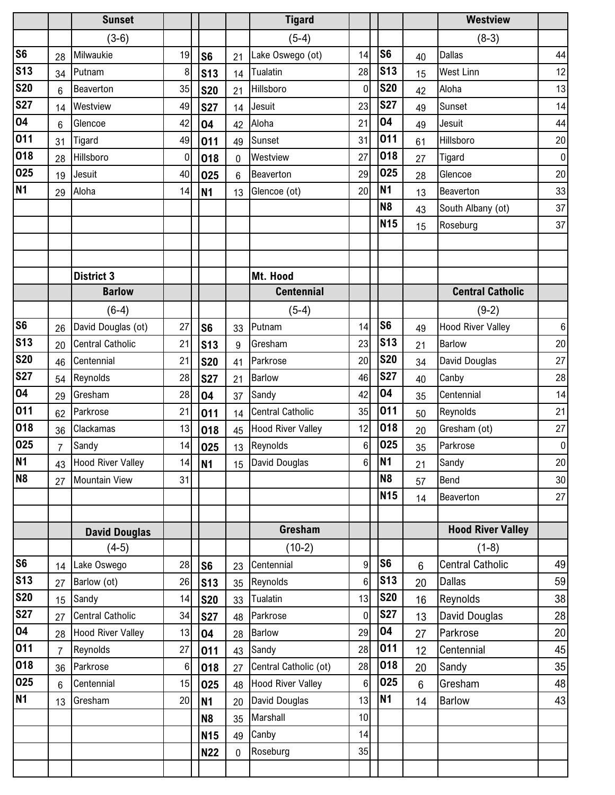|                |                | <b>Sunset</b>            |             |                 |                | <b>Tigard</b>            |                 |                |    | <b>Westview</b>          |                  |
|----------------|----------------|--------------------------|-------------|-----------------|----------------|--------------------------|-----------------|----------------|----|--------------------------|------------------|
|                |                | $(3-6)$                  |             |                 |                | $(5-4)$                  |                 |                |    | $(8-3)$                  |                  |
| S6             | 28             | Milwaukie                | 19          | S <sub>6</sub>  | 21             | Lake Oswego (ot)         | 14              | S <sub>6</sub> | 40 | <b>Dallas</b>            | 44               |
| <b>S13</b>     | 34             | Putnam                   | 8           | <b>S13</b>      | 14             | Tualatin                 | 28              | <b>S13</b>     | 15 | <b>West Linn</b>         | 12               |
| <b>S20</b>     | $6\phantom{1}$ | Beaverton                | 35          | <b>S20</b>      | 21             | Hillsboro                | $\mathbf 0$     | <b>S20</b>     | 42 | Aloha                    | 13               |
| <b>S27</b>     | 14             | Westview                 | 49          | <b>S27</b>      | 14             | Jesuit                   | 23              | <b>S27</b>     | 49 | Sunset                   | 14               |
| 04             | 6              | Glencoe                  | 42          | 04              | 42             | Aloha                    | 21              | 04             | 49 | Jesuit                   | 44               |
| 011            | 31             | Tigard                   | 49          | 011             | 49             | Sunset                   | 31              | 011            | 61 | Hillsboro                | 20               |
| 018            | 28             | Hillsboro                | $\mathbf 0$ | 018             | 0              | Westview                 | 27              | 018            | 27 | Tigard                   | $\mathbf 0$      |
| 025            | 19             | Jesuit                   | 40          | 025             | $6\phantom{1}$ | Beaverton                | 29              | 025            | 28 | Glencoe                  | 20               |
| N <sub>1</sub> | 29             | Aloha                    | 14          | N <sub>1</sub>  | 13             | Glencoe (ot)             | 20              | N <sub>1</sub> | 13 | Beaverton                | 33               |
|                |                |                          |             |                 |                |                          |                 | <b>N8</b>      | 43 | South Albany (ot)        | 37               |
|                |                |                          |             |                 |                |                          |                 | <b>N15</b>     | 15 | Roseburg                 | 37               |
|                |                |                          |             |                 |                |                          |                 |                |    |                          |                  |
|                |                |                          |             |                 |                |                          |                 |                |    |                          |                  |
|                |                | <b>District 3</b>        |             |                 |                | Mt. Hood                 |                 |                |    |                          |                  |
|                |                | <b>Barlow</b>            |             |                 |                | <b>Centennial</b>        |                 |                |    | <b>Central Catholic</b>  |                  |
|                |                | $(6-4)$                  |             |                 |                | $(5-4)$                  |                 |                |    | $(9-2)$                  |                  |
| S <sub>6</sub> | 26             | David Douglas (ot)       | 27          | S6              | 33             | Putnam                   | 14              | S <sub>6</sub> | 49 | <b>Hood River Valley</b> | $\,6\,$          |
| <b>S13</b>     | 20             | <b>Central Catholic</b>  | 21          | S <sub>13</sub> | 9              | Gresham                  | 23              | <b>S13</b>     | 21 | <b>Barlow</b>            | 20               |
| <b>S20</b>     | 46             | Centennial               | 21          | <b>S20</b>      | 41             | Parkrose                 | 20              | <b>S20</b>     | 34 | David Douglas            | 27               |
| <b>S27</b>     | 54             | Reynolds                 | 28          | <b>S27</b>      | 21             | <b>Barlow</b>            | 46              | <b>S27</b>     | 40 | Canby                    | 28               |
| 04             | 29             | Gresham                  | 28          | 04              | 37             | Sandy                    | 42              | 04             | 35 | Centennial               | 14               |
| 011            | 62             | Parkrose                 | 21          | 011             | 14             | <b>Central Catholic</b>  | 35              | 011            | 50 | Reynolds                 | 21               |
| 018            | 36             | Clackamas                | 13          | 018             | 45             | <b>Hood River Valley</b> | 12              | 018            | 20 | Gresham (ot)             | 27               |
| 025            | $\overline{7}$ | Sandy                    | 14          | 025             | 13             | Reynolds                 | $6\phantom{1}$  | 025            | 35 | Parkrose                 | $\boldsymbol{0}$ |
| <b>N1</b>      | 43             | <b>Hood River Valley</b> | 14          | N <sub>1</sub>  |                | 15 David Douglas         | 6               | N <sub>1</sub> | 21 | Sandy                    | $20\,$           |
| N <sub>8</sub> | 27             | <b>Mountain View</b>     | 31          |                 |                |                          |                 | N <sub>8</sub> | 57 | Bend                     | 30               |
|                |                |                          |             |                 |                |                          |                 | <b>N15</b>     | 14 | Beaverton                | 27               |
|                |                |                          |             |                 |                |                          |                 |                |    |                          |                  |
|                |                | <b>David Douglas</b>     |             |                 |                | Gresham                  |                 |                |    | <b>Hood River Valley</b> |                  |
|                |                | $(4-5)$                  |             |                 |                | $(10-2)$                 |                 |                |    | $(1-8)$                  |                  |
| S <sub>6</sub> | 14             | Lake Oswego              | 28          | S <sub>6</sub>  | 23             | Centennial               | 9               | S <sub>6</sub> | 6  | <b>Central Catholic</b>  | 49               |
| <b>S13</b>     | 27             | Barlow (ot)              | 26          | S <sub>13</sub> | 35             | Reynolds                 | $6\phantom{1}6$ | <b>S13</b>     | 20 | <b>Dallas</b>            | 59               |
| <b>S20</b>     | 15             | Sandy                    | 14          | <b>S20</b>      | 33             | Tualatin                 | 13              | <b>S20</b>     | 16 | Reynolds                 | 38               |
| <b>S27</b>     | 27             | <b>Central Catholic</b>  | 34          | <b>S27</b>      | 48             | Parkrose                 | $\mathbf 0$     | <b>S27</b>     | 13 | David Douglas            | 28               |
| 04             | 28             | <b>Hood River Valley</b> | 13          | 04              | 28             | <b>Barlow</b>            | 29              | 04             | 27 | Parkrose                 | 20               |
| 011            | $\overline{7}$ | Reynolds                 | 27          | 011             | 43             | Sandy                    | 28              | 011            | 12 | Centennial               | 45               |
| 018            | 36             | Parkrose                 | 6           | 018             | 27             | Central Catholic (ot)    | 28              | 018            | 20 | Sandy                    | 35               |
| 025            | 6              | Centennial               | 15          | 025             | 48             | <b>Hood River Valley</b> | 6               | 025            | 6  | Gresham                  | 48               |
| <b>N1</b>      | 13             | Gresham                  | 20          | N <sub>1</sub>  | 20             | David Douglas            | 13              | <b>N1</b>      | 14 | <b>Barlow</b>            | 43               |
|                |                |                          |             | N <sub>8</sub>  | 35             | Marshall                 | 10              |                |    |                          |                  |
|                |                |                          |             | <b>N15</b>      | 49             | Canby                    | 14              |                |    |                          |                  |
|                |                |                          |             | <b>N22</b>      | 0              | Roseburg                 | 35              |                |    |                          |                  |
|                |                |                          |             |                 |                |                          |                 |                |    |                          |                  |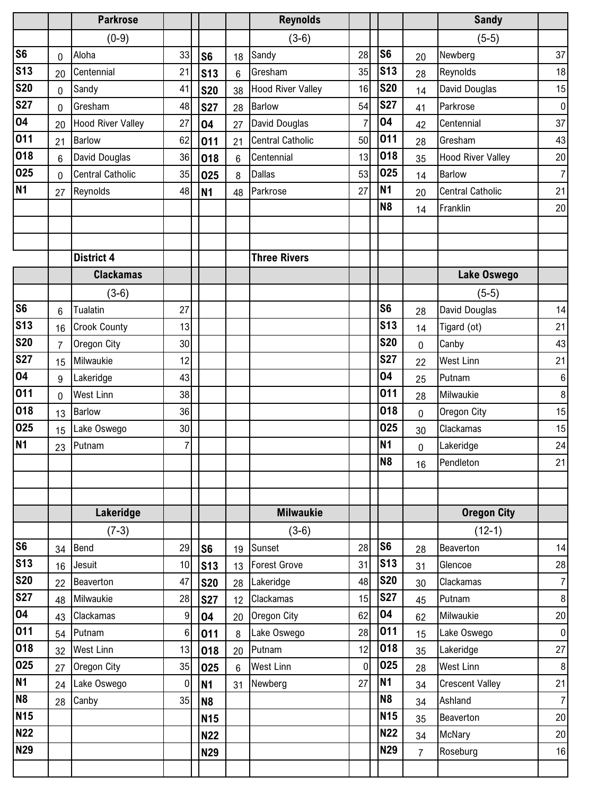|                        |                | <b>Parkrose</b>          |                  |                |                | <b>Reynolds</b>          |                |                       |                | <b>Sandy</b>             |                  |
|------------------------|----------------|--------------------------|------------------|----------------|----------------|--------------------------|----------------|-----------------------|----------------|--------------------------|------------------|
|                        |                | $(0-9)$                  |                  |                |                | $(3-6)$                  |                |                       |                | $(5-5)$                  |                  |
| $\overline{\text{S6}}$ | 0              | Aloha                    | 33               | S <sub>6</sub> | 18             | Sandy                    | 28             | S <sub>6</sub>        | 20             | Newberg                  | 37               |
| <b>S13</b>             | 20             | Centennial               | 21               | <b>S13</b>     | $6\phantom{1}$ | Gresham                  | 35             | <b>S13</b>            | 28             | Reynolds                 | 18               |
| <b>S20</b>             | 0              | Sandy                    | 41               | <b>S20</b>     | 38             | <b>Hood River Valley</b> | 16             | <b>S20</b>            | 14             | David Douglas            | 15               |
| <b>S27</b>             | 0              | Gresham                  | 48               | <b>S27</b>     | 28             | <b>Barlow</b>            | 54             | <b>S27</b>            | 41             | Parkrose                 | $\boldsymbol{0}$ |
| 04                     | 20             | <b>Hood River Valley</b> | 27               | 04             | 27             | David Douglas            | $\overline{7}$ | 04                    | 42             | Centennial               | 37               |
| 011                    | 21             | <b>Barlow</b>            | 62               | 011            | 21             | <b>Central Catholic</b>  | 50             | 011                   | 28             | Gresham                  | 43               |
| 018                    | 6              | David Douglas            | 36               | 018            | $\,6$          | Centennial               | 13             | 018                   | 35             | <b>Hood River Valley</b> | 20               |
| 025                    | 0              | <b>Central Catholic</b>  | 35               | 025            | 8              | <b>Dallas</b>            | 53             | 025                   | 14             | <b>Barlow</b>            | $\overline{7}$   |
| <b>N1</b>              | 27             | Reynolds                 | 48               | <b>N1</b>      | 48             | Parkrose                 | 27             | <b>N1</b>             | 20             | <b>Central Catholic</b>  | 21               |
|                        |                |                          |                  |                |                |                          |                | N <sub>8</sub>        | 14             | Franklin                 | 20               |
|                        |                |                          |                  |                |                |                          |                |                       |                |                          |                  |
|                        |                |                          |                  |                |                |                          |                |                       |                |                          |                  |
|                        |                | <b>District 4</b>        |                  |                |                | <b>Three Rivers</b>      |                |                       |                |                          |                  |
|                        |                | <b>Clackamas</b>         |                  |                |                |                          |                |                       |                | Lake Oswego              |                  |
|                        |                | $(3-6)$                  |                  |                |                |                          |                |                       |                | $(5-5)$                  |                  |
| S <sub>6</sub>         | 6              | Tualatin                 | 27               |                |                |                          |                | S <sub>6</sub>        | 28             | David Douglas            | 14               |
| <b>S13</b>             | 16             | <b>Crook County</b>      | 13               |                |                |                          |                | S <sub>13</sub>       | 14             | Tigard (ot)              | 21               |
| <b>S20</b>             | $\overline{7}$ | Oregon City              | 30               |                |                |                          |                | <b>S20</b>            | $\mathbf 0$    | Canby                    | 43               |
| <b>S27</b>             | 15             | Milwaukie                | 12               |                |                |                          |                | <b>S27</b>            | 22             | <b>West Linn</b>         | 21               |
| 04                     | 9              | Lakeridge                | 43               |                |                |                          |                | 04                    | 25             | Putnam                   | $\,6\,$          |
| 011                    | 0              | West Linn                | 38               |                |                |                          |                | 011                   | 28             | Milwaukie                | $\bf 8$          |
| 018                    | 13             | <b>Barlow</b>            | 36               |                |                |                          |                | 018                   | $\mathbf 0$    | Oregon City              | 15               |
| 025                    | 15             | Lake Oswego              | 30               |                |                |                          |                | 025                   | 30             | Clackamas                | 15               |
| N <sub>1</sub>         | 23             | Putnam                   | 7                |                |                |                          |                | <b>N1</b>             | $\mathbf 0$    | Lakeridge                | 24               |
|                        |                |                          |                  |                |                |                          |                | N <sub>8</sub>        | 16             | Pendleton                | 21               |
|                        |                |                          |                  |                |                |                          |                |                       |                |                          |                  |
|                        |                |                          |                  |                |                |                          |                |                       |                |                          |                  |
|                        |                | Lakeridge                |                  |                |                | <b>Milwaukie</b>         |                |                       |                | <b>Oregon City</b>       |                  |
|                        |                | $(7-3)$                  |                  |                |                | $(3-6)$                  |                |                       |                | $(12-1)$                 |                  |
| S <sub>6</sub>         | 34             | Bend                     | 29               | S <sub>6</sub> | 19             | Sunset                   | 28             | S <sub>6</sub>        | 28             | Beaverton                | 14               |
| <b>S13</b>             | 16             | Jesuit                   | 10               | <b>S13</b>     | 13             | <b>Forest Grove</b>      | 31             | <b>S13</b>            | 31             | Glencoe                  | 28               |
| <b>S20</b>             | 22             | Beaverton                | 47               | <b>S20</b>     | 28             | Lakeridge                | 48             | <b>S20</b>            | 30             | Clackamas                | $\overline{7}$   |
| <b>S27</b>             | 48             | Milwaukie                | 28               | <b>S27</b>     | 12             | Clackamas                | 15             | <b>S27</b>            | 45             | Putnam                   | $\,8\,$          |
| 04                     | 43             | Clackamas                | 9                | 04             | 20             | Oregon City              | 62             | 04                    | 62             | Milwaukie                | $20\,$           |
| 011                    | 54             | Putnam                   | $\boldsymbol{6}$ | 011            | 8              | Lake Oswego              | 28             | 011                   | 15             | Lake Oswego              | $\pmb{0}$        |
| 018                    | 32             | <b>West Linn</b>         | 13               | 018            | 20             | Putnam                   | 12             | 018                   | 35             | Lakeridge                | 27               |
| 025<br><b>N1</b>       | 27             | Oregon City              | 35               | 025            | $6\phantom{a}$ | <b>West Linn</b>         | 0              | 025<br>N <sub>1</sub> | 28             | <b>West Linn</b>         | $\,8\,$          |
| N <sub>8</sub>         | 24             | Lake Oswego              | 0                | N <sub>1</sub> | 31             | Newberg                  | 27             | <b>N8</b>             | 34             | <b>Crescent Valley</b>   | 21               |
| <b>N15</b>             | 28             | Canby                    | 35               | N <sub>8</sub> |                |                          |                | <b>N15</b>            | 34             | Ashland                  | $\overline{7}$   |
| <b>N22</b>             |                |                          |                  | <b>N15</b>     |                |                          |                | <b>N22</b>            | 35             | Beaverton                | 20               |
| <b>N29</b>             |                |                          |                  | <b>N22</b>     |                |                          |                | <b>N29</b>            | 34             | McNary                   | $20\,$           |
|                        |                |                          |                  | <b>N29</b>     |                |                          |                |                       | $\overline{7}$ | Roseburg                 | 16               |
|                        |                |                          |                  |                |                |                          |                |                       |                |                          |                  |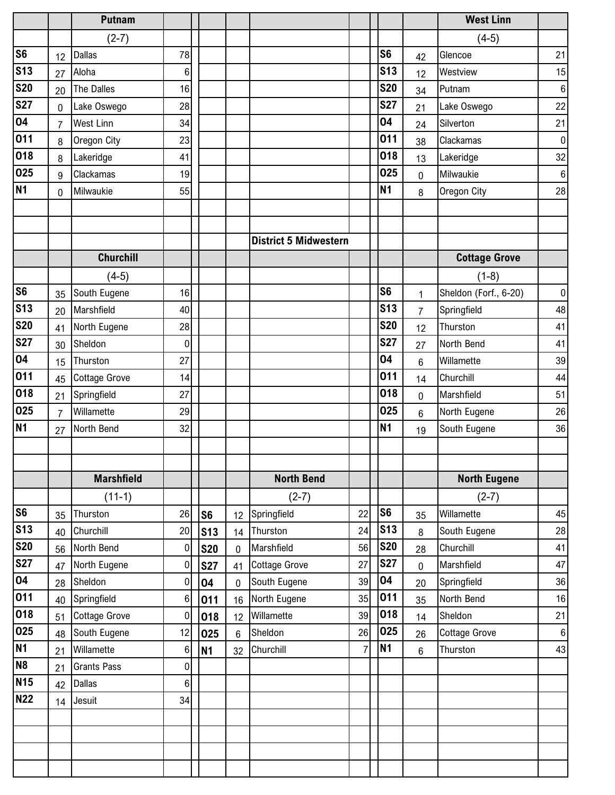|                |                | <b>Putnam</b>        |             |            |             |                              |                |                |                | <b>West Linn</b>      |             |
|----------------|----------------|----------------------|-------------|------------|-------------|------------------------------|----------------|----------------|----------------|-----------------------|-------------|
|                |                | $(2-7)$              |             |            |             |                              |                |                |                | $(4-5)$               |             |
| S <sub>6</sub> | 12             | <b>Dallas</b>        | 78          |            |             |                              |                | S <sub>6</sub> | 42             | Glencoe               | 21          |
| <b>S13</b>     | 27             | Aloha                | 6           |            |             |                              |                | <b>S13</b>     | 12             | Westview              | 15          |
| <b>S20</b>     | 20             | The Dalles           | 16          |            |             |                              |                | <b>S20</b>     | 34             | Putnam                | $\,6\,$     |
| <b>S27</b>     | $\mathbf 0$    | Lake Oswego          | 28          |            |             |                              |                | <b>S27</b>     | 21             | Lake Oswego           | 22          |
| 04             | $\overline{7}$ | West Linn            | 34          |            |             |                              |                | 04             | 24             | Silverton             | 21          |
| 011            | 8              | Oregon City          | 23          |            |             |                              |                | 011            | 38             | Clackamas             | $\mathbf 0$ |
| 018            | 8              | Lakeridge            | 41          |            |             |                              |                | 018            | 13             | Lakeridge             | 32          |
| 025            | 9              | Clackamas            | 19          |            |             |                              |                | 025            | $\overline{0}$ | Milwaukie             | $\,6\,$     |
| <b>N1</b>      | 0              | Milwaukie            | 55          |            |             |                              |                | <b>N1</b>      | 8              | Oregon City           | 28          |
|                |                |                      |             |            |             |                              |                |                |                |                       |             |
|                |                |                      |             |            |             |                              |                |                |                |                       |             |
|                |                |                      |             |            |             | <b>District 5 Midwestern</b> |                |                |                |                       |             |
|                |                | <b>Churchill</b>     |             |            |             |                              |                |                |                | <b>Cottage Grove</b>  |             |
|                |                | $(4-5)$              |             |            |             |                              |                |                |                | $(1-8)$               |             |
| S <sub>6</sub> | 35             | South Eugene         | 16          |            |             |                              |                | S <sub>6</sub> | 1              | Sheldon (Forf., 6-20) | $\pmb{0}$   |
| <b>S13</b>     | 20             | Marshfield           | 40          |            |             |                              |                | <b>S13</b>     | $\overline{7}$ | Springfield           | 48          |
| <b>S20</b>     | 41             | North Eugene         | 28          |            |             |                              |                | <b>S20</b>     | 12             | Thurston              | 41          |
| <b>S27</b>     | 30             | Sheldon              | 0           |            |             |                              |                | <b>S27</b>     | 27             | North Bend            | 41          |
| 04             | 15             | Thurston             | 27          |            |             |                              |                | 04             | $6\phantom{1}$ | Willamette            | 39          |
| 011            | 45             | <b>Cottage Grove</b> | 14          |            |             |                              |                | 011            | 14             | Churchill             | 44          |
| 018            | 21             | Springfield          | 27          |            |             |                              |                | 018            | $\mathbf 0$    | Marshfield            | 51          |
| 025            | $\overline{7}$ | Willamette           | 29          |            |             |                              |                | 025            | $6\phantom{1}$ | North Eugene          | 26          |
| N <sub>1</sub> | 27             | North Bend           | 32          |            |             |                              |                | N <sub>1</sub> | 19             | South Eugene          | 36          |
|                |                |                      |             |            |             |                              |                |                |                |                       |             |
|                |                |                      |             |            |             |                              |                |                |                |                       |             |
|                |                | <b>Marshfield</b>    |             |            |             | <b>North Bend</b>            |                |                |                | <b>North Eugene</b>   |             |
|                |                | $(11-1)$             |             |            |             | $(2-7)$                      |                |                |                | $(2-7)$               |             |
| S <sub>6</sub> | 35             | Thurston             | 26          | <b>S6</b>  | 12          | Springfield                  | 22             | S <sub>6</sub> | 35             | Willamette            | 45          |
| <b>S13</b>     | 40             | Churchill            | 20          | <b>S13</b> | 14          | Thurston                     | 24             | <b>S13</b>     | 8              | South Eugene          | 28          |
| <b>S20</b>     | 56             | North Bend           | $\pmb{0}$   | <b>S20</b> | 0           | Marshfield                   | 56             | <b>S20</b>     | 28             | Churchill             | 41          |
| <b>S27</b>     | 47             | North Eugene         | $\pmb{0}$   | <b>S27</b> | 41          | <b>Cottage Grove</b>         | 27             | <b>S27</b>     | $\mathbf 0$    | Marshfield            | 47          |
| 04             | 28             | Sheldon              | 0           | 04         | $\mathbf 0$ | South Eugene                 | 39             | 04             | 20             | Springfield           | 36          |
| 011            | 40             | Springfield          | 6           | 011        | 16          | North Eugene                 | 35             | 011            | 35             | North Bend            | 16          |
| 018            | 51             | <b>Cottage Grove</b> | $\mathbf 0$ | 018        | 12          | Willamette                   | 39             | 018            | 14             | Sheldon               | 21          |
| 025            | 48             | South Eugene         | 12          | 025        | $\,6$       | Sheldon                      | 26             | 025            | 26             | <b>Cottage Grove</b>  | $\,6\,$     |
| <b>N1</b>      | 21             | Willamette           | 6           | <b>N1</b>  | 32          | Churchill                    | $\overline{7}$ | <b>N1</b>      | $6\phantom{a}$ | Thurston              | 43          |
| N <sub>8</sub> | 21             | <b>Grants Pass</b>   | $\pmb{0}$   |            |             |                              |                |                |                |                       |             |
| <b>N15</b>     | 42             | <b>Dallas</b>        | 6           |            |             |                              |                |                |                |                       |             |
| <b>N22</b>     | 14             | Jesuit               | 34          |            |             |                              |                |                |                |                       |             |
|                |                |                      |             |            |             |                              |                |                |                |                       |             |
|                |                |                      |             |            |             |                              |                |                |                |                       |             |
|                |                |                      |             |            |             |                              |                |                |                |                       |             |
|                |                |                      |             |            |             |                              |                |                |                |                       |             |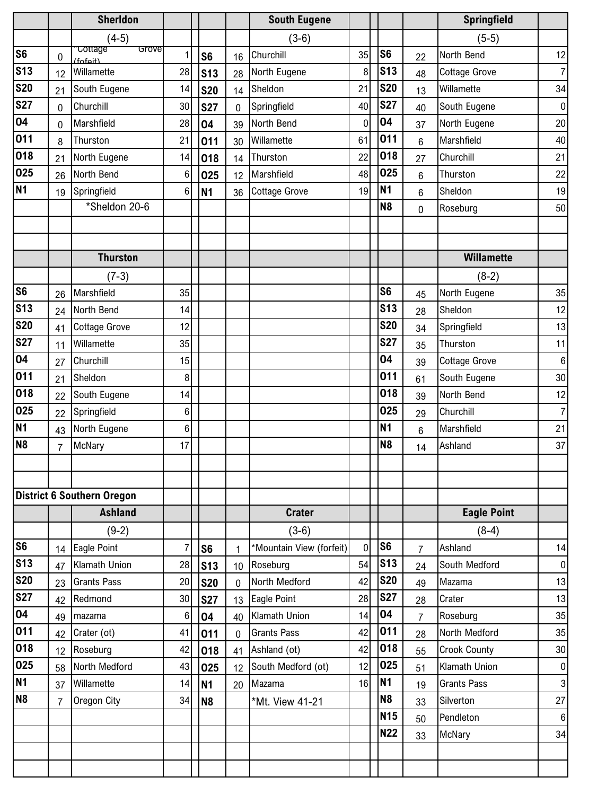|                        |                | <b>Sherldon</b>                     |    |                 |              | <b>South Eugene</b>      |             |                |                 | Springfield          |                           |
|------------------------|----------------|-------------------------------------|----|-----------------|--------------|--------------------------|-------------|----------------|-----------------|----------------------|---------------------------|
|                        |                | $(4-5)$                             |    |                 |              | $(3-6)$                  |             |                |                 | $(5-5)$              |                           |
| $\overline{\text{S6}}$ | 0              | <b>Cottage</b><br>Grove<br>(fofair) | 1  | S <sub>6</sub>  | 16           | Churchill                | 35          | S <sub>6</sub> | 22              | North Bend           | 12                        |
| <b>S13</b>             | 12             | Willamette                          | 28 | <b>S13</b>      | 28           | North Eugene             | 8           | <b>S13</b>     | 48              | <b>Cottage Grove</b> | $\overline{7}$            |
| <b>S20</b>             | 21             | South Eugene                        | 14 | <b>S20</b>      | 14           | Sheldon                  | 21          | <b>S20</b>     | 13              | Willamette           | 34                        |
| <b>S27</b>             | 0              | Churchill                           | 30 | <b>S27</b>      | $\mathbf 0$  | Springfield              | 40          | <b>S27</b>     | 40              | South Eugene         | $\boldsymbol{0}$          |
| 04                     | 0              | Marshfield                          | 28 | 04              | 39           | North Bend               | $\mathbf 0$ | 04             | 37              | North Eugene         | 20                        |
| 011                    | 8              | Thurston                            | 21 | 011             | 30           | Willamette               | 61          | 011            | $6\phantom{.}6$ | Marshfield           | 40                        |
| 018                    | 21             | North Eugene                        | 14 | 018             | 14           | Thurston                 | 22          | 018            | 27              | Churchill            | 21                        |
| 025                    | 26             | North Bend                          | 6  | 025             | 12           | Marshfield               | 48          | 025            | $6\phantom{.}6$ | Thurston             | 22                        |
| <b>N1</b>              | 19             | Springfield                         | 6  | <b>N1</b>       | 36           | <b>Cottage Grove</b>     | 19          | <b>N1</b>      | $6\phantom{.}6$ | Sheldon              | 19                        |
|                        |                | *Sheldon 20-6                       |    |                 |              |                          |             | N <sub>8</sub> | $\mathbf 0$     | Roseburg             | 50                        |
|                        |                |                                     |    |                 |              |                          |             |                |                 |                      |                           |
|                        |                |                                     |    |                 |              |                          |             |                |                 |                      |                           |
|                        |                | <b>Thurston</b>                     |    |                 |              |                          |             |                |                 | <b>Willamette</b>    |                           |
|                        |                | $(7-3)$                             |    |                 |              |                          |             |                |                 | $(8-2)$              |                           |
| <b>S6</b>              | 26             | Marshfield                          | 35 |                 |              |                          |             | S <sub>6</sub> | 45              | North Eugene         | 35                        |
| <b>S13</b>             | 24             | North Bend                          | 14 |                 |              |                          |             | <b>S13</b>     | 28              | Sheldon              | 12                        |
| <b>S20</b>             | 41             | <b>Cottage Grove</b>                | 12 |                 |              |                          |             | <b>S20</b>     | 34              | Springfield          | 13                        |
| <b>S27</b>             | 11             | Willamette                          | 35 |                 |              |                          |             | <b>S27</b>     | 35              | Thurston             | 11                        |
| 04                     | 27             | Churchill                           | 15 |                 |              |                          |             | 04             | 39              | <b>Cottage Grove</b> | $\,6$                     |
| 011                    | 21             | Sheldon                             | 8  |                 |              |                          |             | 011            | 61              | South Eugene         | 30                        |
| 018                    | 22             | South Eugene                        | 14 |                 |              |                          |             | 018            | 39              | North Bend           | 12                        |
| 025                    | 22             | Springfield                         | 6  |                 |              |                          |             | 025            | 29              | Churchill            | $\overline{7}$            |
| <b>N1</b>              | 43             | North Eugene                        | 6  |                 |              |                          |             | <b>N1</b>      | $6\phantom{.}6$ | Marshfield           | 21                        |
| N <sub>8</sub>         | $\overline{7}$ | McNary                              | 17 |                 |              |                          |             | N <sub>8</sub> | 14              | Ashland              | 37                        |
|                        |                |                                     |    |                 |              |                          |             |                |                 |                      |                           |
|                        |                |                                     |    |                 |              |                          |             |                |                 |                      |                           |
|                        |                | <b>District 6 Southern Oregon</b>   |    |                 |              |                          |             |                |                 |                      |                           |
|                        |                | <b>Ashland</b>                      |    |                 |              | <b>Crater</b>            |             |                |                 | <b>Eagle Point</b>   |                           |
|                        |                | $(9-2)$                             |    |                 |              | $(3-6)$                  |             |                |                 | $(8-4)$              |                           |
| S <sub>6</sub>         | 14             | Eagle Point                         | 7  | S <sub>6</sub>  | $\mathbf{1}$ | *Mountain View (forfeit) | $\mathbf 0$ | S <sub>6</sub> | $\overline{7}$  | Ashland              | 14                        |
| <b>S13</b>             | 47             | Klamath Union                       | 28 | S <sub>13</sub> | 10           | Roseburg                 | 54          | <b>S13</b>     | 24              | South Medford        | $\boldsymbol{0}$          |
| <b>S20</b>             | 23             | <b>Grants Pass</b>                  | 20 | <b>S20</b>      | $\mathbf 0$  | North Medford            | 42          | <b>S20</b>     | 49              | Mazama               | 13                        |
| <b>S27</b>             | 42             | Redmond                             | 30 | <b>S27</b>      | 13           | Eagle Point              | 28          | <b>S27</b>     | 28              | Crater               | 13                        |
| 04                     | 49             | mazama                              | 6  | 04              | 40           | Klamath Union            | 14          | 04             | 7               | Roseburg             | 35                        |
| 011                    | 42             | Crater (ot)                         | 41 | 011             | $\pmb{0}$    | <b>Grants Pass</b>       | 42          | 011            | 28              | North Medford        | 35                        |
| 018                    | 12             | Roseburg                            | 42 | 018             | 41           | Ashland (ot)             | 42          | 018            | 55              | <b>Crook County</b>  | 30                        |
| 025                    | 58             | North Medford                       | 43 | 025             | 12           | South Medford (ot)       | 12          | 025            | 51              | Klamath Union        | $\boldsymbol{0}$          |
| N <sub>1</sub>         | 37             | Willamette                          | 14 | N <sub>1</sub>  | 20           | Mazama                   | 16          | <b>N1</b>      | 19              | <b>Grants Pass</b>   | $\ensuremath{\mathsf{3}}$ |
| N <sub>8</sub>         | $\overline{7}$ | Oregon City                         | 34 | N <sub>8</sub>  |              | *Mt. View 41-21          |             | N <sub>8</sub> | 33              | Silverton            | 27                        |
|                        |                |                                     |    |                 |              |                          |             | <b>N15</b>     | 50              | Pendleton            | $\boldsymbol{6}$          |
|                        |                |                                     |    |                 |              |                          |             | <b>N22</b>     | 33              | McNary               | 34                        |
|                        |                |                                     |    |                 |              |                          |             |                |                 |                      |                           |
|                        |                |                                     |    |                 |              |                          |             |                |                 |                      |                           |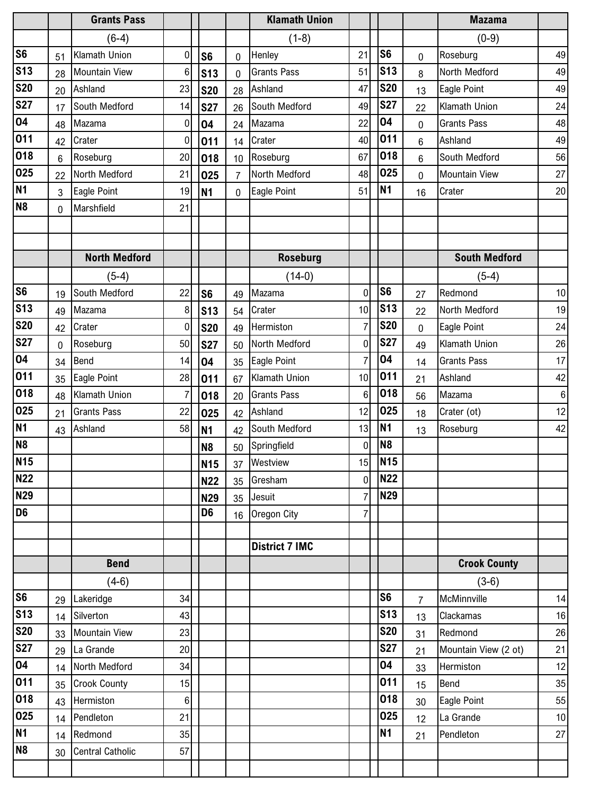|                |                | <b>Grants Pass</b>      |             |                |                | <b>Klamath Union</b>  |                |                 |                | <b>Mazama</b>        |         |
|----------------|----------------|-------------------------|-------------|----------------|----------------|-----------------------|----------------|-----------------|----------------|----------------------|---------|
|                |                | $(6-4)$                 |             |                |                | $(1-8)$               |                |                 |                | $(0-9)$              |         |
| S <sub>6</sub> | 51             | Klamath Union           | 0           | S <sub>6</sub> | 0              | Henley                | 21             | S <sub>6</sub>  | $\mathbf 0$    | Roseburg             | 49      |
| <b>S13</b>     | 28             | <b>Mountain View</b>    | 6           | <b>S13</b>     | 0              | <b>Grants Pass</b>    | 51             | <b>S13</b>      | 8              | North Medford        | 49      |
| <b>S20</b>     | 20             | Ashland                 | 23          | <b>S20</b>     | 28             | Ashland               | 47             | <b>S20</b>      | 13             | Eagle Point          | 49      |
| <b>S27</b>     | 17             | South Medford           | 14          | <b>S27</b>     | 26             | South Medford         | 49             | <b>S27</b>      | 22             | Klamath Union        | 24      |
| 04             | 48             | Mazama                  | 0           | 04             | 24             | Mazama                | 22             | 04              | $\mathbf 0$    | <b>Grants Pass</b>   | 48      |
| 011            | 42             | Crater                  | $\mathbf 0$ | 011            | 14             | Crater                | 40             | 011             | 6              | Ashland              | 49      |
| 018            | $6\phantom{1}$ | Roseburg                | 20          | 018            | 10             | Roseburg              | 67             | 018             | $6\phantom{1}$ | South Medford        | 56      |
| 025            | 22             | North Medford           | 21          | 025            | $\overline{7}$ | North Medford         | 48             | 025             | $\overline{0}$ | <b>Mountain View</b> | 27      |
| N <sub>1</sub> | 3              | Eagle Point             | 19          | <b>N1</b>      | $\overline{0}$ | Eagle Point           | 51             | <b>N1</b>       | 16             | Crater               | 20      |
| N <sub>8</sub> | $\mathbf 0$    | Marshfield              | 21          |                |                |                       |                |                 |                |                      |         |
|                |                |                         |             |                |                |                       |                |                 |                |                      |         |
|                |                |                         |             |                |                |                       |                |                 |                |                      |         |
|                |                | <b>North Medford</b>    |             |                |                | <b>Roseburg</b>       |                |                 |                | <b>South Medford</b> |         |
|                |                | $(5-4)$                 |             |                |                | $(14-0)$              |                |                 |                | $(5-4)$              |         |
| S <sub>6</sub> | 19             | South Medford           | 22          | S <sub>6</sub> | 49             | Mazama                | $\mathbf 0$    | S <sub>6</sub>  | 27             | Redmond              | 10      |
| <b>S13</b>     | 49             | Mazama                  | 8           | <b>S13</b>     | 54             | Crater                | 10             | <b>S13</b>      | 22             | North Medford        | 19      |
| <b>S20</b>     | 42             | Crater                  | $\mathbf 0$ | <b>S20</b>     | 49             | Hermiston             | $\overline{7}$ | <b>S20</b>      | $\mathbf 0$    | Eagle Point          | 24      |
| <b>S27</b>     | $\mathbf 0$    | Roseburg                | 50          | <b>S27</b>     | 50             | North Medford         | $\mathbf 0$    | <b>S27</b>      | 49             | Klamath Union        | 26      |
| 04             | 34             | Bend                    | 14          | 04             | 35             | Eagle Point           | $\overline{7}$ | 04              | 14             | <b>Grants Pass</b>   | 17      |
| 011            | 35             | Eagle Point             | 28          | 011            | 67             | Klamath Union         | 10             | 011             | 21             | Ashland              | 42      |
| 018            | 48             | Klamath Union           | 7           | 018            | 20             | <b>Grants Pass</b>    | 6              | 018             | 56             | Mazama               | $\,6\,$ |
| 025            | 21             | <b>Grants Pass</b>      | 22          | 025            | 42             | Ashland               | 12             | 025             | 18             | Crater (ot)          | 12      |
| N <sub>1</sub> | 43             | Ashland                 | 58          | N <sub>1</sub> | 42             | South Medford         | 13             | <b>N1</b>       | 13             | Roseburg             | 42      |
| N <sub>8</sub> |                |                         |             | N <sub>8</sub> | 50             | Springfield           | $\mathbf 0$    | N <sub>8</sub>  |                |                      |         |
| <b>N15</b>     |                |                         |             | <b>N15</b>     |                | 37 Westview           | 15             | <b>N15</b>      |                |                      |         |
| <b>N22</b>     |                |                         |             | <b>N22</b>     | 35             | Gresham               | $\mathbf 0$    | <b>N22</b>      |                |                      |         |
| <b>N29</b>     |                |                         |             | <b>N29</b>     | 35             | Jesuit                | 7              | <b>N29</b>      |                |                      |         |
| D <sub>6</sub> |                |                         |             | D <sub>6</sub> | 16             | Oregon City           | 7              |                 |                |                      |         |
|                |                |                         |             |                |                | <b>District 7 IMC</b> |                |                 |                |                      |         |
|                |                | <b>Bend</b>             |             |                |                |                       |                |                 |                | <b>Crook County</b>  |         |
|                |                | $(4-6)$                 |             |                |                |                       |                |                 |                | $(3-6)$              |         |
| S <sub>6</sub> | 29             | Lakeridge               | 34          |                |                |                       |                | S <sub>6</sub>  | $\overline{7}$ | McMinnville          | 14      |
| <b>S13</b>     | 14             | Silverton               | 43          |                |                |                       |                | S <sub>13</sub> | 13             | Clackamas            | 16      |
| <b>S20</b>     | 33             | <b>Mountain View</b>    | 23          |                |                |                       |                | <b>S20</b>      | 31             | Redmond              | 26      |
| <b>S27</b>     | 29             | La Grande               | 20          |                |                |                       |                | <b>S27</b>      | 21             | Mountain View (2 ot) | 21      |
| 04             | 14             | North Medford           | 34          |                |                |                       |                | 04              | 33             | Hermiston            | 12      |
| 011            | 35             | <b>Crook County</b>     | 15          |                |                |                       |                | 011             | 15             | Bend                 | 35      |
| 018            | 43             | Hermiston               | 6           |                |                |                       |                | 018             | 30             | Eagle Point          | 55      |
| 025            | 14             | Pendleton               | 21          |                |                |                       |                | 025             | 12             | La Grande            | 10      |
| N <sub>1</sub> | 14             | Redmond                 | 35          |                |                |                       |                | <b>N1</b>       | 21             | Pendleton            | 27      |
| N <sub>8</sub> | 30             | <b>Central Catholic</b> | 57          |                |                |                       |                |                 |                |                      |         |
|                |                |                         |             |                |                |                       |                |                 |                |                      |         |
|                |                |                         |             |                |                |                       |                |                 |                |                      |         |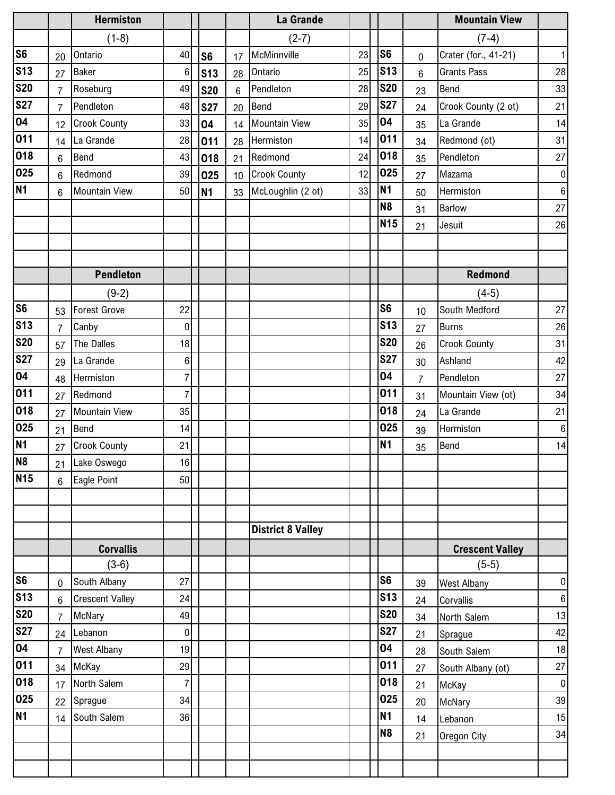|                 |                 | <b>Hermiston</b>       |                |                |    | La Grande                |    |                |                | <b>Mountain View</b>   |                  |
|-----------------|-----------------|------------------------|----------------|----------------|----|--------------------------|----|----------------|----------------|------------------------|------------------|
|                 |                 | $(1-8)$                |                |                |    | $(2-7)$                  |    |                |                | $(7-4)$                |                  |
| S <sub>6</sub>  | 20              | Ontario                | 40             | S <sub>6</sub> | 17 | McMinnville              | 23 | S <sub>6</sub> | 0              | Crater (for., 41-21)   | $\mathbf 1$      |
| <b>S13</b>      | 27              | <b>Baker</b>           | 6              | <b>S13</b>     | 28 | Ontario                  | 25 | S13            | $6\phantom{1}$ | <b>Grants Pass</b>     | 28               |
| <b>S20</b>      | $\overline{7}$  | Roseburg               | 49             | <b>S20</b>     | 6  | Pendleton                | 28 | <b>S20</b>     | 23             | Bend                   | 33               |
| <b>S27</b>      | $\overline{7}$  | Pendleton              | 48             | <b>S27</b>     | 20 | Bend                     | 29 | <b>S27</b>     | 24             | Crook County (2 ot)    | 21               |
| 04              | 12              | <b>Crook County</b>    | 33             | 04             | 14 | <b>Mountain View</b>     | 35 | 04             | 35             | La Grande              | 14               |
| 011             | 14              | La Grande              | 28             | 011            | 28 | Hermiston                | 14 | 011            | 34             | Redmond (ot)           | 31               |
| 018             | 6               | Bend                   | 43             | 018            | 21 | Redmond                  | 24 | 018            | 35             | Pendleton              | 27               |
| 025             | $6\phantom{1}$  | Redmond                | 39             | 025            | 10 | <b>Crook County</b>      | 12 | 025            | 27             | Mazama                 | $\boldsymbol{0}$ |
| <b>N1</b>       | $6\phantom{1}6$ | <b>Mountain View</b>   | 50             | N <sub>1</sub> | 33 | McLoughlin (2 ot)        | 33 | <b>N1</b>      | 50             | Hermiston              | $\,6\,$          |
|                 |                 |                        |                |                |    |                          |    | N <sub>8</sub> | 31             | Barlow                 | 27               |
|                 |                 |                        |                |                |    |                          |    | <b>N15</b>     | 21             | Jesuit                 | 26               |
|                 |                 |                        |                |                |    |                          |    |                |                |                        |                  |
|                 |                 |                        |                |                |    |                          |    |                |                |                        |                  |
|                 |                 | <b>Pendleton</b>       |                |                |    |                          |    |                |                | <b>Redmond</b>         |                  |
|                 |                 | $(9-2)$                |                |                |    |                          |    |                |                | $(4-5)$                |                  |
| S <sub>6</sub>  | 53              | <b>Forest Grove</b>    | 22             |                |    |                          |    | S <sub>6</sub> | 10             | South Medford          | 27               |
| <b>S13</b>      | $\overline{7}$  | Canby                  | $\pmb{0}$      |                |    |                          |    | <b>S13</b>     | 27             | <b>Burns</b>           | 26               |
| <b>S20</b>      | 57              | The Dalles             | 18             |                |    |                          |    | <b>S20</b>     | 26             | <b>Crook County</b>    | 31               |
| <b>S27</b>      | 29              | La Grande              | $\,6$          |                |    |                          |    | <b>S27</b>     | 30             | Ashland                | 42               |
| 04              | 48              | Hermiston              | 7              |                |    |                          |    | 04             | $\overline{7}$ | Pendleton              | 27               |
| 011             | 27              | Redmond                | $\overline{7}$ |                |    |                          |    | 011            | 31             | Mountain View (ot)     | 34               |
| 018             | 27              | <b>Mountain View</b>   | 35             |                |    |                          |    | 018            | 24             | La Grande              | 21               |
| 025             | 21              | Bend                   | 14             |                |    |                          |    | 025            | 39             | Hermiston              | $\,6\,$          |
| <b>N1</b>       | 27              | <b>Crook County</b>    | 21             |                |    |                          |    | N <sub>1</sub> | 35             | Bend                   | 14               |
| N <sub>8</sub>  | 21              | Lake Oswego            | 16             |                |    |                          |    |                |                |                        |                  |
| N <sub>15</sub> | 6               | Eagle Point            | 50             |                |    |                          |    |                |                |                        |                  |
|                 |                 |                        |                |                |    |                          |    |                |                |                        |                  |
|                 |                 |                        |                |                |    |                          |    |                |                |                        |                  |
|                 |                 |                        |                |                |    | <b>District 8 Valley</b> |    |                |                |                        |                  |
|                 |                 | <b>Corvallis</b>       |                |                |    |                          |    |                |                | <b>Crescent Valley</b> |                  |
|                 |                 | $(3-6)$                |                |                |    |                          |    |                |                | $(5-5)$                |                  |
| S6              | $\mathbf 0$     | South Albany           | 27             |                |    |                          |    | S <sub>6</sub> | 39             | <b>West Albany</b>     | $\pmb{0}$        |
| <b>S13</b>      | 6               | <b>Crescent Valley</b> | 24             |                |    |                          |    | <b>S13</b>     | 24             | Corvallis              | $\,6\,$          |
| <b>S20</b>      | $\overline{7}$  | McNary                 | 49             |                |    |                          |    | <b>S20</b>     | 34             | North Salem            | 13               |
| <b>S27</b>      | 24              | Lebanon                | $\pmb{0}$      |                |    |                          |    | <b>S27</b>     | 21             | Sprague                | 42               |
| 04              | $\overline{7}$  | <b>West Albany</b>     | 19             |                |    |                          |    | 04             | 28             | South Salem            | 18               |
| 011             | 34              | McKay                  | 29             |                |    |                          |    | 011            | 27             | South Albany (ot)      | 27               |
| 018             | 17              | North Salem            | 7              |                |    |                          |    | 018            | 21             | McKay                  | $\boldsymbol{0}$ |
| 025             | 22              | Sprague                | 34             |                |    |                          |    | 025            | 20             | McNary                 | 39               |
| <b>N1</b>       | 14              | South Salem            | 36             |                |    |                          |    | <b>N1</b>      | 14             | Lebanon                | 15               |
|                 |                 |                        |                |                |    |                          |    | N <sub>8</sub> | 21             | Oregon City            | 34               |
|                 |                 |                        |                |                |    |                          |    |                |                |                        |                  |
|                 |                 |                        |                |                |    |                          |    |                |                |                        |                  |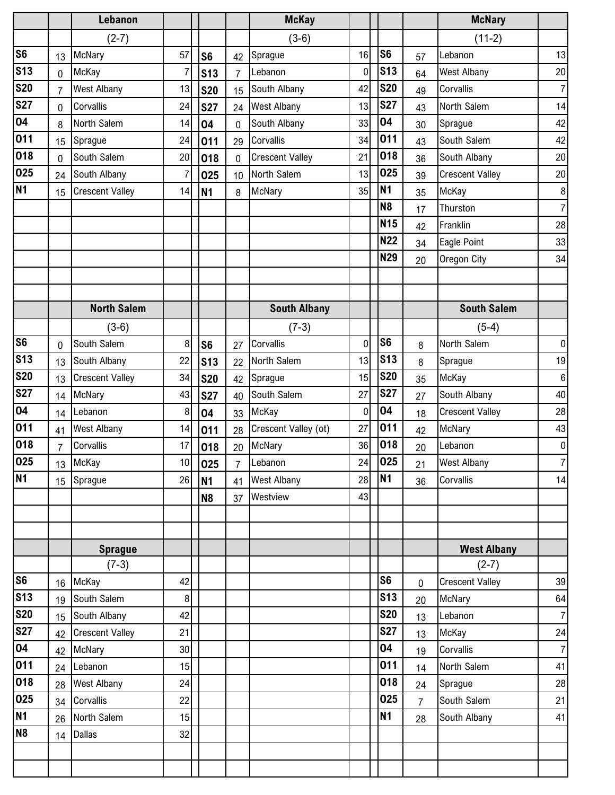|                |                | Lebanon                |                |                 |                | <b>McKay</b>           |    |                |                | <b>McNary</b>          |                  |
|----------------|----------------|------------------------|----------------|-----------------|----------------|------------------------|----|----------------|----------------|------------------------|------------------|
|                |                | $(2-7)$                |                |                 |                | $(3-6)$                |    |                |                | $(11-2)$               |                  |
| S <sub>6</sub> | 13             | McNary                 | 57             | S <sub>6</sub>  | 42             | Sprague                | 16 | S <sub>6</sub> | 57             | Lebanon                | 13               |
| <b>S13</b>     | 0              | McKay                  | $\overline{7}$ | S <sub>13</sub> | $\overline{7}$ | Lebanon                | 0  | <b>S13</b>     | 64             | <b>West Albany</b>     | 20               |
| <b>S20</b>     | $\overline{7}$ | West Albany            | 13             | <b>S20</b>      | 15             | South Albany           | 42 | <b>S20</b>     | 49             | Corvallis              | $\overline{7}$   |
| <b>S27</b>     | 0              | Corvallis              | 24             | <b>S27</b>      | 24             | <b>West Albany</b>     | 13 | <b>S27</b>     | 43             | North Salem            | 14               |
| 04             | 8              | North Salem            | 14             | 04              | $\mathbf 0$    | South Albany           | 33 | 04             | 30             | Sprague                | 42               |
| 011            | 15             | Sprague                | 24             | 011             | 29             | Corvallis              | 34 | 011            | 43             | South Salem            | 42               |
| 018            | $\mathbf 0$    | South Salem            | 20             | 018             | $\pmb{0}$      | <b>Crescent Valley</b> | 21 | 018            | 36             | South Albany           | 20               |
| 025            | 24             | South Albany           | $\overline{7}$ | 025             | 10             | North Salem            | 13 | 025            | 39             | <b>Crescent Valley</b> | 20               |
| N <sub>1</sub> | 15             | <b>Crescent Valley</b> | 14             | N <sub>1</sub>  | 8              | McNary                 | 35 | <b>N1</b>      | 35             | McKay                  | $\, 8$           |
|                |                |                        |                |                 |                |                        |    | N <sub>8</sub> | 17             | Thurston               | $\overline{7}$   |
|                |                |                        |                |                 |                |                        |    | <b>N15</b>     | 42             | Franklin               | 28               |
|                |                |                        |                |                 |                |                        |    | <b>N22</b>     | 34             | Eagle Point            | 33               |
|                |                |                        |                |                 |                |                        |    | <b>N29</b>     | 20             | Oregon City            | 34               |
|                |                |                        |                |                 |                |                        |    |                |                |                        |                  |
|                |                |                        |                |                 |                |                        |    |                |                |                        |                  |
|                |                | <b>North Salem</b>     |                |                 |                | <b>South Albany</b>    |    |                |                | <b>South Salem</b>     |                  |
|                |                | $(3-6)$                |                |                 |                | $(7-3)$                |    |                |                | $(5-4)$                |                  |
| S <sub>6</sub> | 0              | South Salem            | 8              | S <sub>6</sub>  | 27             | Corvallis              | 0  | S <sub>6</sub> | 8              | North Salem            | $\pmb{0}$        |
| <b>S13</b>     | 13             | South Albany           | 22             | S <sub>13</sub> | 22             | North Salem            | 13 | <b>S13</b>     | 8              | Sprague                | 19               |
| <b>S20</b>     | 13             | <b>Crescent Valley</b> | 34             | <b>S20</b>      | 42             | Sprague                | 15 | <b>S20</b>     | 35             | McKay                  | $\,6\,$          |
| <b>S27</b>     | 14             | McNary                 | 43             | <b>S27</b>      | 40             | South Salem            | 27 | <b>S27</b>     | 27             | South Albany           | 40               |
| 04             | 14             | Lebanon                | 8              | 04              | 33             | McKay                  | 0  | 04             | 18             | <b>Crescent Valley</b> | 28               |
| 011            | 41             | <b>West Albany</b>     | 14             | 011             | 28             | Crescent Valley (ot)   | 27 | 011            | 42             | McNary                 | 43               |
| 018            | $\overline{7}$ | Corvallis              | 17             | 018             | 20             | McNary                 | 36 | 018            | 20             | Lebanon                | $\boldsymbol{0}$ |
| 025            | 13             | McKay                  | 10             | 025             | $\overline{7}$ | Lebanon                | 24 | 025            | 21             | <b>West Albany</b>     | $\boldsymbol{7}$ |
| <b>N1</b>      | 15             | Sprague                | 26             | N <sub>1</sub>  | 41             | <b>West Albany</b>     | 28 | <b>N1</b>      | 36             | Corvallis              | 14               |
|                |                |                        |                | N <sub>8</sub>  | 37             | Westview               | 43 |                |                |                        |                  |
|                |                |                        |                |                 |                |                        |    |                |                |                        |                  |
|                |                |                        |                |                 |                |                        |    |                |                |                        |                  |
|                |                | <b>Sprague</b>         |                |                 |                |                        |    |                |                | <b>West Albany</b>     |                  |
|                |                | $(7-3)$                |                |                 |                |                        |    |                |                | $(2-7)$                |                  |
| S <sub>6</sub> | 16             | McKay                  | 42             |                 |                |                        |    | S <sub>6</sub> | $\mathbf 0$    | <b>Crescent Valley</b> | 39               |
| <b>S13</b>     | 19             | South Salem            | 8              |                 |                |                        |    | <b>S13</b>     | 20             | McNary                 | 64               |
| <b>S20</b>     | 15             | South Albany           | 42             |                 |                |                        |    | <b>S20</b>     | 13             | Lebanon                | $\overline{7}$   |
| <b>S27</b>     | 42             | <b>Crescent Valley</b> | 21             |                 |                |                        |    | <b>S27</b>     | 13             | McKay                  | 24               |
| 04             | 42             | McNary                 | 30             |                 |                |                        |    | 04             | 19             | Corvallis              | $\overline{7}$   |
| 011            | 24             | Lebanon                | 15             |                 |                |                        |    | 011            | 14             | North Salem            | 41               |
| 018            | 28             | <b>West Albany</b>     | 24             |                 |                |                        |    | 018            | 24             | Sprague                | 28               |
| 025            | 34             | Corvallis              | 22             |                 |                |                        |    | 025            | $\overline{7}$ | South Salem            | 21               |
| <b>N1</b>      | 26             | North Salem            | 15             |                 |                |                        |    | <b>N1</b>      | 28             | South Albany           | 41               |
| N <sub>8</sub> | 14             | <b>Dallas</b>          | 32             |                 |                |                        |    |                |                |                        |                  |
|                |                |                        |                |                 |                |                        |    |                |                |                        |                  |
|                |                |                        |                |                 |                |                        |    |                |                |                        |                  |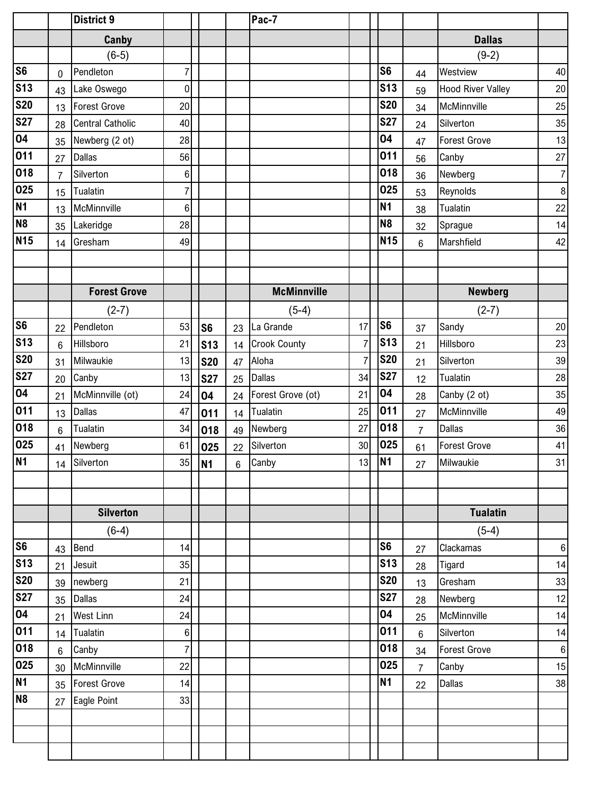|                |                | <b>District 9</b>       |                |                 |    | Pac-7               |                |                |                |                          |                  |
|----------------|----------------|-------------------------|----------------|-----------------|----|---------------------|----------------|----------------|----------------|--------------------------|------------------|
|                |                | Canby                   |                |                 |    |                     |                |                |                | <b>Dallas</b>            |                  |
|                |                | $(6-5)$                 |                |                 |    |                     |                |                |                | $(9-2)$                  |                  |
| S <sub>6</sub> | 0              | Pendleton               | 7              |                 |    |                     |                | S <sub>6</sub> | 44             | Westview                 | 40               |
| <b>S13</b>     | 43             | Lake Oswego             | 0              |                 |    |                     |                | <b>S13</b>     | 59             | <b>Hood River Valley</b> | 20               |
| <b>S20</b>     | 13             | <b>Forest Grove</b>     | 20             |                 |    |                     |                | <b>S20</b>     | 34             | McMinnville              | 25               |
| <b>S27</b>     | 28             | <b>Central Catholic</b> | 40             |                 |    |                     |                | <b>S27</b>     | 24             | Silverton                | 35               |
| 04             | 35             | Newberg (2 ot)          | 28             |                 |    |                     |                | 04             | 47             | <b>Forest Grove</b>      | 13               |
| 011            | 27             | <b>Dallas</b>           | 56             |                 |    |                     |                | 011            | 56             | Canby                    | 27               |
| 018            | $\overline{7}$ | Silverton               | $\,6$          |                 |    |                     |                | 018            | 36             | Newberg                  | $\boldsymbol{7}$ |
| 025            | 15             | Tualatin                | 7              |                 |    |                     |                | 025            | 53             | Reynolds                 | 8                |
| <b>N1</b>      | 13             | McMinnville             | 6              |                 |    |                     |                | <b>N1</b>      | 38             | Tualatin                 | 22               |
| N <sub>8</sub> | 35             | Lakeridge               | 28             |                 |    |                     |                | N <sub>8</sub> | 32             | Sprague                  | 14               |
| <b>N15</b>     | 14             | Gresham                 | 49             |                 |    |                     |                | <b>N15</b>     | 6              | Marshfield               | 42               |
|                |                |                         |                |                 |    |                     |                |                |                |                          |                  |
|                |                |                         |                |                 |    |                     |                |                |                |                          |                  |
|                |                | <b>Forest Grove</b>     |                |                 |    | <b>McMinnville</b>  |                |                |                | <b>Newberg</b>           |                  |
|                |                | $(2-7)$                 |                |                 |    | $(5-4)$             |                |                |                | $(2-7)$                  |                  |
| S <sub>6</sub> | 22             | Pendleton               | 53             | S6              | 23 | La Grande           | 17             | S <sub>6</sub> | 37             | Sandy                    | 20               |
| <b>S13</b>     | 6              | Hillsboro               | 21             | s <sub>13</sub> | 14 | <b>Crook County</b> | $\overline{7}$ | <b>S13</b>     | 21             | Hillsboro                | 23               |
| <b>S20</b>     | 31             | Milwaukie               | 13             | <b>S20</b>      | 47 | Aloha               | $\overline{7}$ | <b>S20</b>     | 21             | Silverton                | 39               |
| <b>S27</b>     | 20             | Canby                   | 13             | <b>S27</b>      | 25 | <b>Dallas</b>       | 34             | <b>S27</b>     | 12             | Tualatin                 | 28               |
| 04             | 21             | McMinnville (ot)        | 24             | 04              | 24 | Forest Grove (ot)   | 21             | 04             | 28             | Canby (2 ot)             | 35               |
| 011            | 13             | <b>Dallas</b>           | 47             | 011             | 14 | Tualatin            | 25             | 011            | 27             | McMinnville              | 49               |
| 018            | $6\phantom{1}$ | Tualatin                | 34             | 018             | 49 | Newberg             | 27             | 018            | $\overline{7}$ | <b>Dallas</b>            | 36               |
| 025            | 41             | Newberg                 | 61             | 025             | 22 | Silverton           | 30             | 025            | 61             | <b>Forest Grove</b>      | 41               |
| <b>N1</b>      | 14             | Silverton               | 35             | N <sub>1</sub>  | 6  | Canby               | 13             | N1             | 27             | Milwaukie                | 31               |
|                |                |                         |                |                 |    |                     |                |                |                |                          |                  |
|                |                |                         |                |                 |    |                     |                |                |                |                          |                  |
|                |                | <b>Silverton</b>        |                |                 |    |                     |                |                |                | <b>Tualatin</b>          |                  |
|                |                | $(6-4)$                 |                |                 |    |                     |                |                |                | $(5-4)$                  |                  |
| S <sub>6</sub> | 43             | Bend                    | 14             |                 |    |                     |                | S <sub>6</sub> | 27             | Clackamas                | $\,6\,$          |
| <b>S13</b>     | 21             | Jesuit                  | 35             |                 |    |                     |                | <b>S13</b>     | 28             | Tigard                   | 14               |
| <b>S20</b>     | 39             | newberg                 | 21             |                 |    |                     |                | <b>S20</b>     | 13             | Gresham                  | 33               |
| <b>S27</b>     | 35             | Dallas                  | 24             |                 |    |                     |                | <b>S27</b>     | 28             | Newberg                  | 12               |
| 04             | 21             | <b>West Linn</b>        | 24             |                 |    |                     |                | 04             | 25             | McMinnville              | 14               |
| 011            | 14             | Tualatin                | $\,6$          |                 |    |                     |                | 011            | $6\phantom{1}$ | Silverton                | 14               |
| 018            | 6              | Canby                   | $\overline{7}$ |                 |    |                     |                | 018            | 34             | <b>Forest Grove</b>      | $\,6\,$          |
| 025            | 30             | McMinnville             | 22             |                 |    |                     |                | 025            | $\overline{7}$ | Canby                    | 15               |
| <b>N1</b>      | 35             | <b>Forest Grove</b>     | 14             |                 |    |                     |                | <b>N1</b>      | 22             | Dallas                   | 38               |
| N <sub>8</sub> | 27             | Eagle Point             | 33             |                 |    |                     |                |                |                |                          |                  |
|                |                |                         |                |                 |    |                     |                |                |                |                          |                  |
|                |                |                         |                |                 |    |                     |                |                |                |                          |                  |
|                |                |                         |                |                 |    |                     |                |                |                |                          |                  |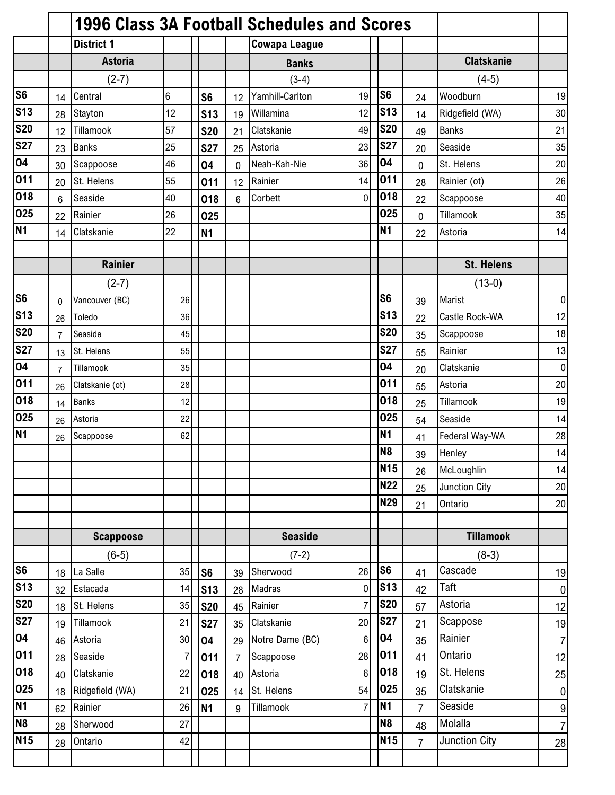|                         |                |                   |    |                |                | 1996 Class 3A Football Schedules and Scores |                |                 |                |                      |                 |
|-------------------------|----------------|-------------------|----|----------------|----------------|---------------------------------------------|----------------|-----------------|----------------|----------------------|-----------------|
|                         |                | <b>District 1</b> |    |                |                | <b>Cowapa League</b>                        |                |                 |                |                      |                 |
|                         |                | <b>Astoria</b>    |    |                |                | <b>Banks</b>                                |                |                 |                | <b>Clatskanie</b>    |                 |
|                         |                | $(2-7)$           |    |                |                | $(3-4)$                                     |                |                 |                | $(4-5)$              |                 |
| S6                      | 14             | Central           | 6  | S <sub>6</sub> | 12             | Yamhill-Carlton                             | 19             | S <sub>6</sub>  | 24             | Woodburn             | 19              |
| S <sub>13</sub>         | 28             | Stayton           | 12 | <b>S13</b>     | 19             | Willamina                                   | 12             | <b>S13</b>      | 14             | Ridgefield (WA)      | 30 <sup>1</sup> |
| <b>S20</b>              | 12             | Tillamook         | 57 | <b>S20</b>     | 21             | Clatskanie                                  | 49             | <b>S20</b>      | 49             | <b>Banks</b>         | 21              |
| <b>S27</b>              | 23             | <b>Banks</b>      | 25 | <b>S27</b>     | 25             | Astoria                                     | 23             | <b>S27</b>      | 20             | Seaside              | 35              |
| 04                      | 30             | Scappoose         | 46 | 04             | 0              | Neah-Kah-Nie                                | 36             | 04              | $\mathbf{0}$   | St. Helens           | 20              |
| $\overline{0}11$        | 20             | St. Helens        | 55 | 011            | 12             | Rainier                                     | 14             | 011             | 28             | Rainier (ot)         | 26              |
| 018                     | 6              | Seaside           | 40 | 018            | 6              | Corbett                                     | 0              | 018             | 22             | Scappoose            | 40              |
| 025                     | 22             | Rainier           | 26 | 025            |                |                                             |                | 025             | $\mathbf 0$    | Tillamook            | 35              |
| N <sub>1</sub>          | 14             | Clatskanie        | 22 | <b>N1</b>      |                |                                             |                | <b>N1</b>       | 22             | Astoria              | 14              |
|                         |                |                   |    |                |                |                                             |                |                 |                |                      |                 |
|                         |                | <b>Rainier</b>    |    |                |                |                                             |                |                 |                | <b>St. Helens</b>    |                 |
|                         |                | $(2-7)$           |    |                |                |                                             |                |                 |                | $(13-0)$             |                 |
| <b>S6</b>               | $\Omega$       | Vancouver (BC)    | 26 |                |                |                                             |                | S <sub>6</sub>  | 39             | Marist               | $\overline{0}$  |
| <b>S13</b>              | 26             | Toledo            | 36 |                |                |                                             |                | <b>S13</b>      | 22             | Castle Rock-WA       | 12              |
| <b>S20</b>              | $\overline{7}$ | Seaside           | 45 |                |                |                                             |                | <b>S20</b>      | 35             | Scappoose            | 18              |
| <b>S27</b>              | 13             | St. Helens        | 55 |                |                |                                             |                | <b>S27</b>      | 55             | Rainier              | 13              |
| 04                      | $\overline{7}$ | Tillamook         | 35 |                |                |                                             |                | 04              | 20             | Clatskanie           | $\overline{0}$  |
| 011                     | 26             | Clatskanie (ot)   | 28 |                |                |                                             |                | 011             | 55             | Astoria              | 20              |
| 018                     | 14             | <b>Banks</b>      | 12 |                |                |                                             |                | 018             | 25             | Tillamook            | 19              |
| 025                     | 26             | Astoria           | 22 |                |                |                                             |                | 025             | 54             | Seaside              | 14              |
| N1                      | 26             | Scappoose         | 62 |                |                |                                             |                | N <sub>1</sub>  | 41             | Federal Way-WA       | 28              |
|                         |                |                   |    |                |                |                                             |                | <b>N8</b>       | 39             | Henley               | 14              |
|                         |                |                   |    |                |                |                                             |                | <b>N15</b>      | 26             | McLoughlin           | 14              |
|                         |                |                   |    |                |                |                                             |                | <b>N22</b>      | 25             | Junction City        | 20              |
|                         |                |                   |    |                |                |                                             |                | N29             | 21             | Ontario              | 20              |
|                         |                |                   |    |                |                |                                             |                |                 |                |                      |                 |
|                         |                | <b>Scappoose</b>  |    |                |                | <b>Seaside</b>                              |                |                 |                | <b>Tillamook</b>     |                 |
|                         |                | $(6-5)$           |    |                |                | $(7-2)$                                     |                |                 |                | $(8-3)$              |                 |
| S6                      | 18             | La Salle          | 35 | S <sub>6</sub> | 39             | Sherwood                                    | 26             | S <sub>6</sub>  | 41             | Cascade              | 19              |
| $\overline{\text{S}13}$ | 32             | Estacada          | 14 | <b>S13</b>     | 28             | Madras                                      | $\mathbf 0$    | <b>S13</b>      | 42             | Taft                 | 0               |
| <b>S20</b>              | 18             | St. Helens        | 35 | <b>S20</b>     | 45             | Rainier                                     | $\overline{7}$ | <b>S20</b>      | 57             | Astoria              | 12              |
| <b>S27</b>              | 19             | Tillamook         | 21 | <b>S27</b>     | 35             | Clatskanie                                  | 20             | <b>S27</b>      | 21             | Scappose             | 19              |
| 04                      | 46             | Astoria           | 30 | 04             | 29             | Notre Dame (BC)                             | $6\phantom{a}$ | 04              | 35             | Rainier              | 7               |
| 011                     | 28             | Seaside           | 7  | 011            | $\overline{7}$ | Scappoose                                   | 28             | 011             | 41             | Ontario              | 12              |
| 018                     | 40             | Clatskanie        | 22 | 018            | 40             | Astoria                                     | 6              | 018             | 19             | St. Helens           | 25              |
| 025                     | 18             | Ridgefield (WA)   | 21 | 025            | 14             | St. Helens                                  | 54             | 025             | 35             | Clatskanie           | 0               |
| N <sub>1</sub>          | 62             | Rainier           | 26 | N <sub>1</sub> | 9              | Tillamook                                   | $\overline{7}$ | <b>N1</b>       | $\overline{7}$ | Seaside              | 9               |
| N <sub>8</sub>          | 28             | Sherwood          | 27 |                |                |                                             |                | N <sub>8</sub>  | 48             | Molalla              | 7               |
| N <sub>15</sub>         | 28             | Ontario           | 42 |                |                |                                             |                | N <sub>15</sub> | $\overline{7}$ | <b>Junction City</b> | 28              |
|                         |                |                   |    |                |                |                                             |                |                 |                |                      |                 |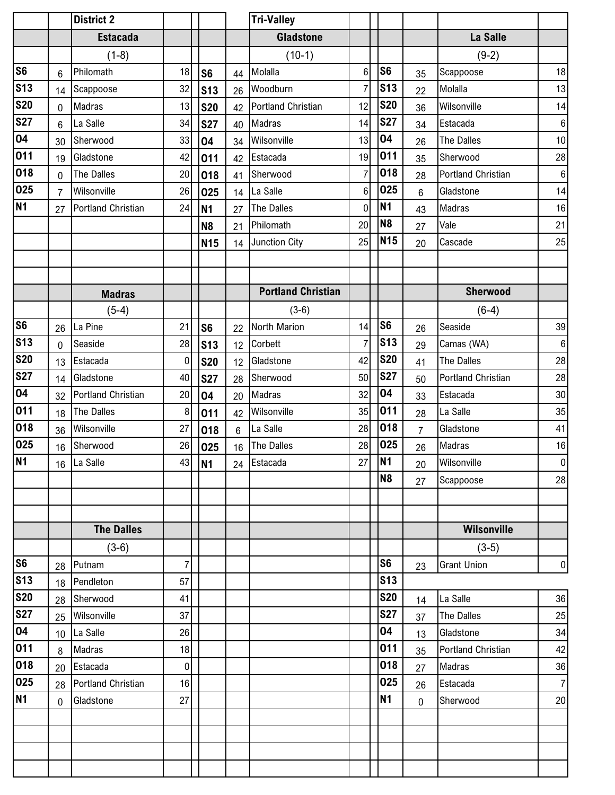|                |                | <b>District 2</b>         |                |                 |    | <b>Tri-Valley</b>         |                |                |                |                    |                 |
|----------------|----------------|---------------------------|----------------|-----------------|----|---------------------------|----------------|----------------|----------------|--------------------|-----------------|
|                |                | <b>Estacada</b>           |                |                 |    | <b>Gladstone</b>          |                |                |                | La Salle           |                 |
|                |                | $(1-8)$                   |                |                 |    | $(10-1)$                  |                |                |                | $(9-2)$            |                 |
| S <sub>6</sub> | $6\phantom{1}$ | Philomath                 | 18             | S6              | 44 | Molalla                   | 6              | S <sub>6</sub> | 35             | Scappoose          | 18              |
| <b>S13</b>     | 14             | Scappoose                 | 32             | s <sub>13</sub> | 26 | Woodburn                  | $\overline{7}$ | <b>S13</b>     | 22             | Molalla            | 13              |
| <b>S20</b>     | $\mathbf 0$    | Madras                    | 13             | <b>S20</b>      | 42 | Portland Christian        | 12             | <b>S20</b>     | 36             | Wilsonville        | 14              |
| <b>S27</b>     | $6\phantom{1}$ | La Salle                  | 34             | <b>S27</b>      | 40 | Madras                    | 14             | <b>S27</b>     | 34             | Estacada           | 6               |
| 04             | 30             | Sherwood                  | 33             | 04              | 34 | Wilsonville               | 13             | 04             | 26             | <b>The Dalles</b>  | 10 <sup>1</sup> |
| 011            | 19             | Gladstone                 | 42             | 011             | 42 | Estacada                  | 19             | 011            | 35             | Sherwood           | 28              |
| 018            | $\mathbf 0$    | The Dalles                | 20             | 018             | 41 | Sherwood                  | $\overline{7}$ | 018            | 28             | Portland Christian | 6               |
| 025            | $\overline{7}$ | Wilsonville               | 26             | 025             | 14 | La Salle                  | 6              | 025            | 6              | Gladstone          | 14              |
| <b>N1</b>      | 27             | <b>Portland Christian</b> | 24             | N <sub>1</sub>  | 27 | <b>The Dalles</b>         | 0              | N1             | 43             | Madras             | 16              |
|                |                |                           |                | N <sub>8</sub>  | 21 | Philomath                 | 20             | N <sub>8</sub> | 27             | Vale               | 21              |
|                |                |                           |                | <b>N15</b>      | 14 | Junction City             | 25             | <b>N15</b>     | 20             | Cascade            | 25              |
|                |                |                           |                |                 |    |                           |                |                |                |                    |                 |
|                |                |                           |                |                 |    |                           |                |                |                |                    |                 |
|                |                | <b>Madras</b>             |                |                 |    | <b>Portland Christian</b> |                |                |                | <b>Sherwood</b>    |                 |
|                |                | $(5-4)$                   |                |                 |    | $(3-6)$                   |                |                |                | $(6-4)$            |                 |
| <b>S6</b>      | 26             | La Pine                   | 21             | S6              | 22 | North Marion              | 14             | S <sub>6</sub> | 26             | Seaside            | 39              |
| <b>S13</b>     | 0              | Seaside                   | 28             | $\sqrt{3}$      | 12 | Corbett                   | $\overline{7}$ | <b>S13</b>     | 29             | Camas (WA)         | 6               |
| <b>S20</b>     | 13             | Estacada                  | $\pmb{0}$      | <b>S20</b>      | 12 | Gladstone                 | 42             | <b>S20</b>     | 41             | The Dalles         | 28              |
| <b>S27</b>     | 14             | Gladstone                 | 40             | <b>S27</b>      | 28 | Sherwood                  | 50             | <b>S27</b>     | 50             | Portland Christian | 28              |
| 04             | 32             | <b>Portland Christian</b> | 20             | 04              | 20 | Madras                    | 32             | 04             | 33             | Estacada           | 30 <sup>°</sup> |
| 011            | 18             | <b>The Dalles</b>         | 8              | 011             | 42 | Wilsonville               | 35             | 011            | 28             | La Salle           | 35              |
| 018            | 36             | Wilsonville               | 27             | 018             | 6  | La Salle                  | 28             | 018            | $\overline{7}$ | Gladstone          | 41              |
| 025            | 16             | Sherwood                  | 26             | 025             | 16 | <b>The Dalles</b>         | 28             | 025            | 26             | <b>Madras</b>      | 16              |
| <b>N1</b>      | 16             | La Salle                  |                | $43$ N1         |    | 24 Estacada               | 27             | N <sub>1</sub> | 20             | Wilsonville        | $\overline{0}$  |
|                |                |                           |                |                 |    |                           |                | <b>N8</b>      | 27             | Scappoose          | 28              |
|                |                |                           |                |                 |    |                           |                |                |                |                    |                 |
|                |                |                           |                |                 |    |                           |                |                |                |                    |                 |
|                |                | <b>The Dalles</b>         |                |                 |    |                           |                |                |                | <b>Wilsonville</b> |                 |
|                |                | $(3-6)$                   |                |                 |    |                           |                |                |                | $(3-5)$            |                 |
| <b>S6</b>      | 28             | Putnam                    | $\overline{7}$ |                 |    |                           |                | S <sub>6</sub> | 23             | <b>Grant Union</b> | 0               |
| <b>S13</b>     | 18             | Pendleton                 | 57             |                 |    |                           |                | <b>S13</b>     |                |                    |                 |
| <b>S20</b>     | 28             | Sherwood                  | 41             |                 |    |                           |                | <b>S20</b>     | 14             | La Salle           | 36              |
| <b>S27</b>     | 25             | Wilsonville               | 37             |                 |    |                           |                | <b>S27</b>     | 37             | The Dalles         | 25              |
| 04             | 10             | La Salle                  | 26             |                 |    |                           |                | 04             | 13             | Gladstone          | 34              |
| 011            | 8              | Madras                    | 18             |                 |    |                           |                | 011            | 35             | Portland Christian | 42              |
| 018            | 20             | Estacada                  | $\pmb{0}$      |                 |    |                           |                | 018            | 27             | Madras             | 36              |
| 025            | 28             | Portland Christian        | 16             |                 |    |                           |                | 025            | 26             | Estacada           | 7               |
| <b>N1</b>      | $\mathbf 0$    | Gladstone                 | 27             |                 |    |                           |                | <b>N1</b>      | $\mathbf 0$    | Sherwood           | 20              |
|                |                |                           |                |                 |    |                           |                |                |                |                    |                 |
|                |                |                           |                |                 |    |                           |                |                |                |                    |                 |
|                |                |                           |                |                 |    |                           |                |                |                |                    |                 |
|                |                |                           |                |                 |    |                           |                |                |                |                    |                 |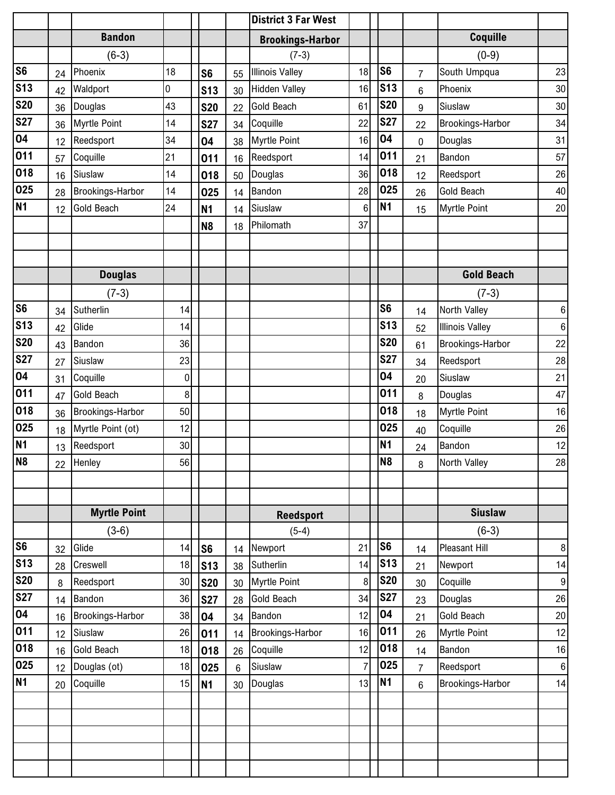|                |    |                     |          |                |                | <b>District 3 Far West</b> |                 |                 |                |                        |                |
|----------------|----|---------------------|----------|----------------|----------------|----------------------------|-----------------|-----------------|----------------|------------------------|----------------|
|                |    | <b>Bandon</b>       |          |                |                | <b>Brookings-Harbor</b>    |                 |                 |                | Coquille               |                |
|                |    | $(6-3)$             |          |                |                | $(7-3)$                    |                 |                 |                | $(0-9)$                |                |
| <b>S6</b>      | 24 | Phoenix             | 18       | S <sub>6</sub> | 55             | <b>Illinois Valley</b>     | 18              | S <sub>6</sub>  | $\overline{7}$ | South Umpqua           | 23             |
| <b>S13</b>     | 42 | Waldport            | 0        | <b>S13</b>     | 30             | <b>Hidden Valley</b>       | 16              | <b>S13</b>      | 6              | Phoenix                | $30\,$         |
| <b>S20</b>     | 36 | Douglas             | 43       | <b>S20</b>     | 22             | <b>Gold Beach</b>          | 61              | <b>S20</b>      | 9              | Siuslaw                | 30             |
| <b>S27</b>     | 36 | Myrtle Point        | 14       | <b>S27</b>     | 34             | Coquille                   | 22              | <b>S27</b>      | 22             | Brookings-Harbor       | 34             |
| 04             | 12 | Reedsport           | 34       | 04             | 38             | <b>Myrtle Point</b>        | 16              | 04              | $\mathbf 0$    | Douglas                | 31             |
| 011            | 57 | Coquille            | 21       | 011            | 16             | Reedsport                  | 14              | 011             | 21             | Bandon                 | 57             |
| 018            | 16 | Siuslaw             | 14       | 018            | 50             | Douglas                    | 36              | 018             | 12             | Reedsport              | 26             |
| 025            | 28 | Brookings-Harbor    | 14       | 025            | 14             | Bandon                     | 28              | 025             | 26             | <b>Gold Beach</b>      | 40             |
| <b>N1</b>      | 12 | <b>Gold Beach</b>   | 24       | <b>N1</b>      | 14             | Siuslaw                    | $6\phantom{1}6$ | N1              | 15             | Myrtle Point           | 20             |
|                |    |                     |          | N <sub>8</sub> | 18             | Philomath                  | 37              |                 |                |                        |                |
|                |    |                     |          |                |                |                            |                 |                 |                |                        |                |
|                |    |                     |          |                |                |                            |                 |                 |                |                        |                |
|                |    | <b>Douglas</b>      |          |                |                |                            |                 |                 |                | <b>Gold Beach</b>      |                |
|                |    | $(7-3)$             |          |                |                |                            |                 |                 |                | $(7-3)$                |                |
| S <sub>6</sub> | 34 | Sutherlin           | 14       |                |                |                            |                 | S <sub>6</sub>  | 14             | North Valley           | 6 <sup>1</sup> |
| <b>S13</b>     | 42 | Glide               | 14       |                |                |                            |                 | <b>S13</b>      | 52             | <b>Illinois Valley</b> | 6              |
| <b>S20</b>     | 43 | Bandon              | 36       |                |                |                            |                 | <b>S20</b>      | 61             | Brookings-Harbor       | 22             |
| <b>S27</b>     | 27 | Siuslaw             | 23       |                |                |                            |                 | <b>S27</b>      | 34             | Reedsport              | 28             |
| 04             | 31 | Coquille            | $\bf{0}$ |                |                |                            |                 | 04              | 20             | Siuslaw                | 21             |
| 011            | 47 | Gold Beach          | 8        |                |                |                            |                 | 011             | 8              | Douglas                | 47             |
| 018            | 36 | Brookings-Harbor    | 50       |                |                |                            |                 | 018             | 18             | Myrtle Point           | 16             |
| 025            | 18 | Myrtle Point (ot)   | 12       |                |                |                            |                 | 025             | 40             | Coquille               | 26             |
| <b>N1</b>      | 13 | Reedsport           | 30       |                |                |                            |                 | <b>N1</b>       | 24             | Bandon                 | 12             |
| N <sub>8</sub> |    | 22 Henley           | 56       |                |                |                            |                 | N <sub>8</sub>  | 8              | North Valley           | 28             |
|                |    |                     |          |                |                |                            |                 |                 |                |                        |                |
|                |    |                     |          |                |                |                            |                 |                 |                |                        |                |
|                |    | <b>Myrtle Point</b> |          |                |                | <b>Reedsport</b>           |                 |                 |                | <b>Siuslaw</b>         |                |
|                |    | $(3-6)$             |          |                |                | $(5-4)$                    |                 |                 |                | $(6-3)$                |                |
| <b>S6</b>      | 32 | Glide               | 14       | S <sub>6</sub> | 14             | Newport                    | 21              | S <sub>6</sub>  | 14             | <b>Pleasant Hill</b>   | 8              |
| <b>S13</b>     | 28 | Creswell            | 18       | <b>S13</b>     | 38             | Sutherlin                  | 14              | S <sub>13</sub> | 21             | Newport                | 14             |
| <b>S20</b>     | 8  | Reedsport           | 30       | <b>S20</b>     | 30             | <b>Myrtle Point</b>        | 8               | <b>S20</b>      | 30             | Coquille               | 9              |
| <b>S27</b>     | 14 | Bandon              | 36       | <b>S27</b>     | 28             | <b>Gold Beach</b>          | 34              | <b>S27</b>      | 23             | Douglas                | 26             |
| 04             | 16 | Brookings-Harbor    | 38       | 04             | 34             | Bandon                     | 12              | 04              | 21             | <b>Gold Beach</b>      | 20             |
| 011            | 12 | Siuslaw             | 26       | 011            | 14             | Brookings-Harbor           | 16              | 011             | 26             | Myrtle Point           | 12             |
| 018            | 16 | Gold Beach          | 18       | 018            | 26             | Coquille                   | 12              | 018             | 14             | Bandon                 | 16             |
| 025            | 12 | Douglas (ot)        | 18       | 025            | $6\phantom{1}$ | Siuslaw                    | $\overline{7}$  | 025             | $\overline{7}$ | Reedsport              | 6              |
| N <sub>1</sub> | 20 | Coquille            | 15       | <b>N1</b>      | 30             | Douglas                    | 13              | N1              | $6\phantom{.}$ | Brookings-Harbor       | 14             |
|                |    |                     |          |                |                |                            |                 |                 |                |                        |                |
|                |    |                     |          |                |                |                            |                 |                 |                |                        |                |
|                |    |                     |          |                |                |                            |                 |                 |                |                        |                |
|                |    |                     |          |                |                |                            |                 |                 |                |                        |                |
|                |    |                     |          |                |                |                            |                 |                 |                |                        |                |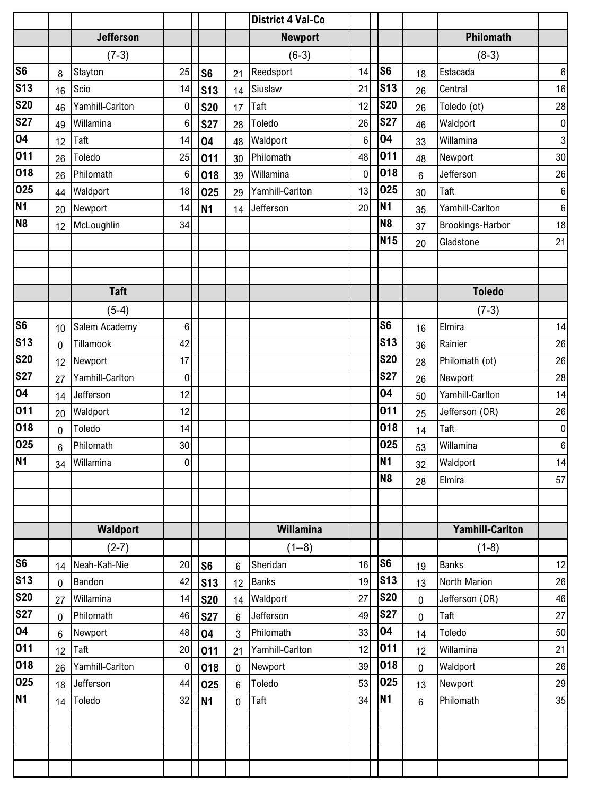|                |                |                  |                 |                |                | <b>District 4 Val-Co</b> |                 |                |                |                        |                 |
|----------------|----------------|------------------|-----------------|----------------|----------------|--------------------------|-----------------|----------------|----------------|------------------------|-----------------|
|                |                | <b>Jefferson</b> |                 |                |                | <b>Newport</b>           |                 |                |                | Philomath              |                 |
|                |                | $(7-3)$          |                 |                |                | $(6-3)$                  |                 |                |                | $(8-3)$                |                 |
| S <sub>6</sub> | 8              | Stayton          | 25              | S <sub>6</sub> | 21             | Reedsport                | 14              | S <sub>6</sub> | 18             | Estacada               | 6               |
| <b>S13</b>     | 16             | Scio             | 14              | <b>S13</b>     | 14             | Siuslaw                  | 21              | <b>S13</b>     | 26             | Central                | 16              |
| <b>S20</b>     | 46             | Yamhill-Carlton  | $\mathbf 0$     | <b>S20</b>     | 17             | Taft                     | 12              | <b>S20</b>     | 26             | Toledo (ot)            | 28              |
| <b>S27</b>     | 49             | Willamina        | $6\phantom{1}6$ | <b>S27</b>     | 28             | Toledo                   | 26              | <b>S27</b>     | 46             | Waldport               | 0               |
| 04             | 12             | Taft             | 14              | 04             | 48             | Waldport                 | $6\phantom{1}6$ | 04             | 33             | Willamina              | 3 <sup>1</sup>  |
| 011            | 26             | Toledo           | 25              | 011            | 30             | Philomath                | 48              | 011            | 48             | Newport                | 30 <sup>°</sup> |
| 018            | 26             | Philomath        | $\,6$           | 018            | 39             | Willamina                | $\overline{0}$  | 018            | 6              | Jefferson              | 26              |
| 025            | 44             | Waldport         | 18              | 025            | 29             | Yamhill-Carlton          | 13              | 025            | 30             | Taft                   | 6               |
| <b>N1</b>      | 20             | Newport          | 14              | <b>N1</b>      | 14             | Jefferson                | 20              | <b>N1</b>      | 35             | Yamhill-Carlton        | 6 <sup>1</sup>  |
| N <sub>8</sub> | 12             | McLoughlin       | 34              |                |                |                          |                 | N <sub>8</sub> | 37             | Brookings-Harbor       | 18              |
|                |                |                  |                 |                |                |                          |                 | <b>N15</b>     | 20             | Gladstone              | 21              |
|                |                |                  |                 |                |                |                          |                 |                |                |                        |                 |
|                |                |                  |                 |                |                |                          |                 |                |                |                        |                 |
|                |                | <b>Taft</b>      |                 |                |                |                          |                 |                |                | <b>Toledo</b>          |                 |
|                |                | $(5-4)$          |                 |                |                |                          |                 |                |                | $(7-3)$                |                 |
| S <sub>6</sub> | 10             | Salem Academy    | 6               |                |                |                          |                 | S <sub>6</sub> | 16             | Elmira                 | 14              |
| <b>S13</b>     | 0              | Tillamook        | 42              |                |                |                          |                 | <b>S13</b>     | 36             | Rainier                | 26              |
| <b>S20</b>     | 12             | Newport          | 17              |                |                |                          |                 | <b>S20</b>     | 28             | Philomath (ot)         | 26              |
| <b>S27</b>     | 27             | Yamhill-Carlton  | $\mathbf 0$     |                |                |                          |                 | <b>S27</b>     | 26             | Newport                | 28              |
| 04             | 14             | Jefferson        | 12              |                |                |                          |                 | 04             | 50             | Yamhill-Carlton        | 14              |
| 011            | 20             | Waldport         | 12              |                |                |                          |                 | 011            | 25             | Jefferson (OR)         | 26              |
| 018            | 0              | Toledo           | 14              |                |                |                          |                 | 018            | 14             | Taft                   | 0               |
| 025            | $6\phantom{1}$ | Philomath        | 30              |                |                |                          |                 | 025            | 53             | Willamina              | 6               |
| <b>N1</b>      | 34             | Willamina        | 0               |                |                |                          |                 | <b>N1</b>      | 32             | Waldport               | 14              |
|                |                |                  |                 |                |                |                          |                 | N <sub>8</sub> | 28             | Elmira                 | 57              |
|                |                |                  |                 |                |                |                          |                 |                |                |                        |                 |
|                |                |                  |                 |                |                |                          |                 |                |                |                        |                 |
|                |                | Waldport         |                 |                |                | Willamina                |                 |                |                | <b>Yamhill-Carlton</b> |                 |
|                |                | $(2-7)$          |                 |                |                | $(1 - 8)$                |                 |                |                | $(1-8)$                |                 |
| <b>S6</b>      | 14             | Neah-Kah-Nie     | 20              | S <sub>6</sub> | 6              | Sheridan                 | 16              | S <sub>6</sub> | 19             | <b>Banks</b>           | 12              |
| <b>S13</b>     | $\mathbf 0$    | Bandon           | 42              | <b>S13</b>     | 12             | <b>Banks</b>             | 19              | <b>S13</b>     | 13             | North Marion           | 26              |
| <b>S20</b>     | 27             | Willamina        | 14              | <b>S20</b>     | 14             | Waldport                 | 27              | <b>S20</b>     | $\overline{0}$ | Jefferson (OR)         | 46              |
| <b>S27</b>     | 0              | Philomath        | 46              | <b>S27</b>     | 6              | Jefferson                | 49              | <b>S27</b>     | $\mathbf 0$    | Taft                   | 27              |
| 04             | $6\phantom{1}$ | Newport          | 48              | 04             | 3              | Philomath                | 33              | 04             | 14             | Toledo                 | 50              |
| 011            | 12             | Taft             | 20              | 011            | 21             | Yamhill-Carlton          | 12              | 011            | 12             | Willamina              | 21              |
| 018            | 26             | Yamhill-Carlton  | $\mathbf 0$     | 018            | $\mathbf 0$    | Newport                  | 39              | 018            | $\overline{0}$ | Waldport               | 26              |
| 025            | 18             | Jefferson        | 44              | 025            | $6\phantom{1}$ | Toledo                   | 53              | 025            | 13             | Newport                | 29              |
| <b>N1</b>      | 14             | Toledo           | 32              | <b>N1</b>      | $\pmb{0}$      | Taft                     | 34              | N1             | $6\phantom{.}$ | Philomath              | 35              |
|                |                |                  |                 |                |                |                          |                 |                |                |                        |                 |
|                |                |                  |                 |                |                |                          |                 |                |                |                        |                 |
|                |                |                  |                 |                |                |                          |                 |                |                |                        |                 |
|                |                |                  |                 |                |                |                          |                 |                |                |                        |                 |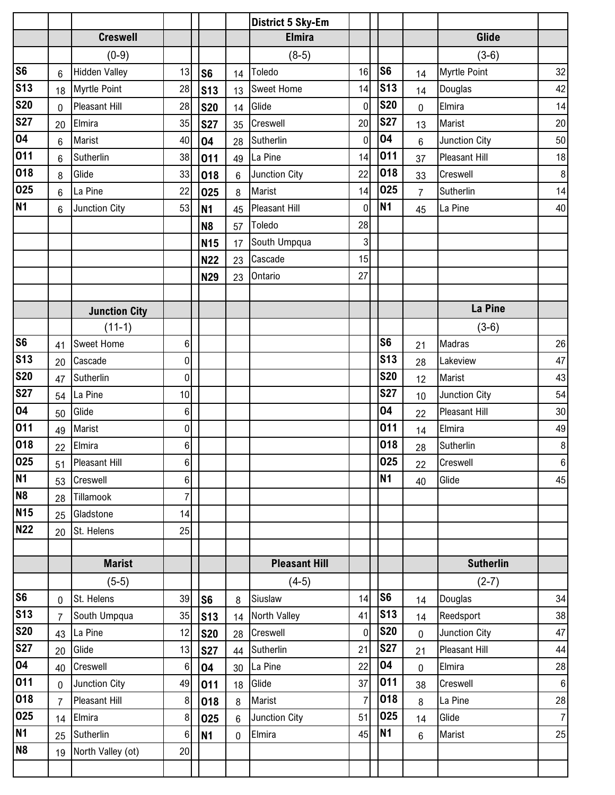|                 |                |                      |                |                 |                | <b>District 5 Sky-Em</b> |                |                |                |                      |        |
|-----------------|----------------|----------------------|----------------|-----------------|----------------|--------------------------|----------------|----------------|----------------|----------------------|--------|
|                 |                | <b>Creswell</b>      |                |                 |                | <b>Elmira</b>            |                |                |                | Glide                |        |
|                 |                | $(0-9)$              |                |                 |                | $(8-5)$                  |                |                |                | $(3-6)$              |        |
| <b>S6</b>       | 6              | <b>Hidden Valley</b> | 13             | S <sub>6</sub>  | 14             | Toledo                   | 16             | S <sub>6</sub> | 14             | <b>Myrtle Point</b>  | 32     |
| <b>S13</b>      | 18             | Myrtle Point         | 28             | s <sub>13</sub> | 13             | <b>Sweet Home</b>        | 14             | <b>S13</b>     | 14             | Douglas              | 42     |
| <b>S20</b>      | $\Omega$       | <b>Pleasant Hill</b> | 28             | <b>S20</b>      | 14             | Glide                    | $\overline{0}$ | <b>S20</b>     | $\overline{0}$ | Elmira               | 14     |
| <b>S27</b>      | 20             | Elmira               | 35             | <b>S27</b>      | 35             | Creswell                 | 20             | <b>S27</b>     | 13             | Marist               | 20     |
| 04              | 6              | Marist               | 40             | 04              | 28             | Sutherlin                | $\overline{0}$ | 04             | $6\phantom{1}$ | Junction City        | 50     |
| 011             | $6\phantom{1}$ | Sutherlin            | 38             | 011             | 49             | La Pine                  | 14             | 011            | 37             | <b>Pleasant Hill</b> | 18     |
| 018             | 8              | Glide                | 33             | 018             | $6\phantom{1}$ | Junction City            | 22             | 018            | 33             | Creswell             | 8      |
| 025             | $6\phantom{1}$ | La Pine              | 22             | 025             | 8              | Marist                   | 14             | 025            | $\overline{7}$ | Sutherlin            | 14     |
| N <sub>1</sub>  | $6\phantom{1}$ | Junction City        | 53             | N <sub>1</sub>  | 45             | <b>Pleasant Hill</b>     | $\mathbf 0$    | N1             | 45             | La Pine              | 40     |
|                 |                |                      |                | N <sub>8</sub>  | 57             | Toledo                   | 28             |                |                |                      |        |
|                 |                |                      |                | <b>N15</b>      | 17             | South Umpqua             | 3              |                |                |                      |        |
|                 |                |                      |                | <b>N22</b>      | 23             | Cascade                  | 15             |                |                |                      |        |
|                 |                |                      |                | <b>N29</b>      | 23             | Ontario                  | 27             |                |                |                      |        |
|                 |                |                      |                |                 |                |                          |                |                |                |                      |        |
|                 |                | <b>Junction City</b> |                |                 |                |                          |                |                |                | La Pine              |        |
|                 |                | $(11-1)$             |                |                 |                |                          |                |                |                | $(3-6)$              |        |
| <b>S6</b>       | 41             | <b>Sweet Home</b>    | $\,6$          |                 |                |                          |                | S <sub>6</sub> | 21             | Madras               | 26     |
| <b>S13</b>      | 20             | Cascade              | 0              |                 |                |                          |                | <b>S13</b>     | 28             | Lakeview             | 47     |
| <b>S20</b>      | 47             | Sutherlin            | $\mathbf 0$    |                 |                |                          |                | <b>S20</b>     | 12             | Marist               | 43     |
| <b>S27</b>      | 54             | La Pine              | 10             |                 |                |                          |                | <b>S27</b>     | 10             | Junction City        | 54     |
| 04              | 50             | Glide                | 6              |                 |                |                          |                | 04             | 22             | <b>Pleasant Hill</b> | $30\,$ |
| 011             | 49             | Marist               | $\pmb{0}$      |                 |                |                          |                | 011            | 14             | Elmira               | 49     |
| 018             | 22             | Elmira               | $\,6\,$        |                 |                |                          |                | 018            | 28             | Sutherlin            | 8      |
| 025             | 51             | Pleasant Hill        | $6\vert$       |                 |                |                          |                | 025            | 22             | Creswell             | 6      |
| <b>N1</b>       | 53             | Creswell             | 6              |                 |                |                          |                | N <sub>1</sub> | 40             | Glide                | 45     |
| 8N              | 28             | Tillamook            | 7              |                 |                |                          |                |                |                |                      |        |
| N <sub>15</sub> | 25             | Gladstone            | 14             |                 |                |                          |                |                |                |                      |        |
| <b>N22</b>      | 20             | St. Helens           | 25             |                 |                |                          |                |                |                |                      |        |
|                 |                |                      |                |                 |                |                          |                |                |                |                      |        |
|                 |                | <b>Marist</b>        |                |                 |                | <b>Pleasant Hill</b>     |                |                |                | <b>Sutherlin</b>     |        |
|                 |                | $(5-5)$              |                |                 |                | $(4-5)$                  |                |                |                | $(2-7)$              |        |
| S <sub>6</sub>  | $\mathbf{0}$   | St. Helens           | 39             | S <sub>6</sub>  | 8              | Siuslaw                  | 14             | S <sub>6</sub> | 14             | Douglas              | 34     |
| <b>S13</b>      | $\overline{7}$ | South Umpqua         | 35             | S13             | 14             | North Valley             | 41             | <b>S13</b>     | 14             | Reedsport            | 38     |
| <b>S20</b>      | 43             | La Pine              | 12             | <b>S20</b>      | 28             | Creswell                 | $\overline{0}$ | <b>S20</b>     | $\overline{0}$ | Junction City        | 47     |
| <b>S27</b>      | 20             | Glide                | 13             | <b>S27</b>      | 44             | Sutherlin                | 21             | <b>S27</b>     | 21             | <b>Pleasant Hill</b> | 44     |
| 04              | 40             | Creswell             | $\,6\,$        | 04              | 30             | La Pine                  | 22             | 04             | $\overline{0}$ | Elmira               | 28     |
| 011             | $\mathbf 0$    | Junction City        | 49             | 011             | 18             | Glide                    | 37             | 011            | 38             | Creswell             | 6      |
| 018             | $\overline{7}$ | Pleasant Hill        | 8              | 018             | 8              | Marist                   | 7              | 018            | 8              | La Pine              | 28     |
| 025             | 14             | Elmira               | 8              | 025             | 6              | Junction City            | 51             | 025            | 14             | Glide                | 7      |
| N1              | 25             | Sutherlin            | $6\phantom{1}$ | <b>N1</b>       | 0              | Elmira                   | 45             | N1             | 6              | Marist               | 25     |
| N <sub>8</sub>  | 19             | North Valley (ot)    | 20             |                 |                |                          |                |                |                |                      |        |
|                 |                |                      |                |                 |                |                          |                |                |                |                      |        |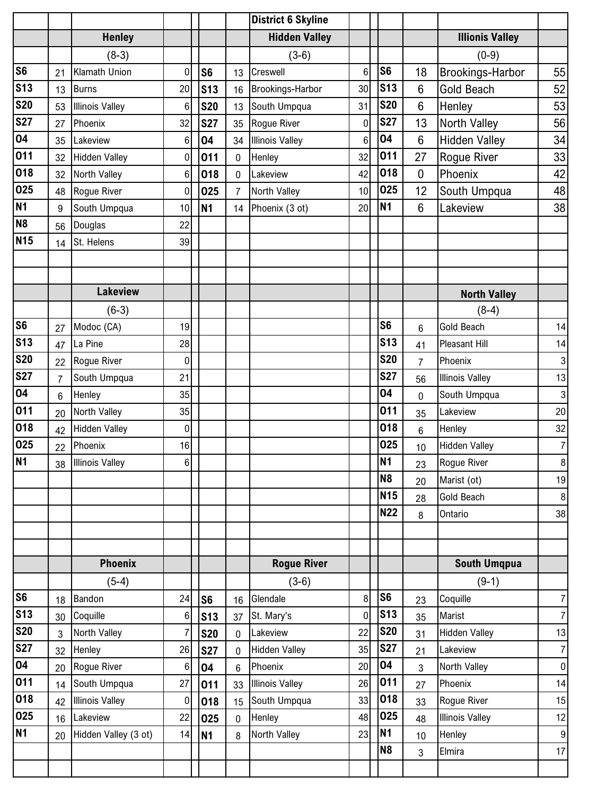|                |                |                        |                 |                 |                 | <b>District 6 Skyline</b> |                 |                |                |                         |          |
|----------------|----------------|------------------------|-----------------|-----------------|-----------------|---------------------------|-----------------|----------------|----------------|-------------------------|----------|
|                |                | <b>Henley</b>          |                 |                 |                 | <b>Hidden Valley</b>      |                 |                |                | <b>Illionis Valley</b>  |          |
|                |                | $(8-3)$                |                 |                 |                 | $(3-6)$                   |                 |                |                | $(0-9)$                 |          |
| S <sub>6</sub> | 21             | Klamath Union          | $\mathbf 0$     | S <sub>6</sub>  | 13              | Creswell                  | $6\phantom{1}$  | S <sub>6</sub> | 18             | <b>Brookings-Harbor</b> | 55       |
| <b>S13</b>     | 13             | <b>Burns</b>           | 20              | <b>S13</b>      | 16              | Brookings-Harbor          | 30              | <b>S13</b>     | $6\phantom{1}$ | <b>Gold Beach</b>       | 52       |
| <b>S20</b>     | 53             | <b>Illinois Valley</b> | $6\phantom{1}6$ | <b>S20</b>      | 13              | South Umpqua              | 31              | <b>S20</b>     | 6              | Henley                  | 53       |
| <b>S27</b>     | 27             | Phoenix                | 32              | <b>S27</b>      | 35              | Rogue River               | 0               | <b>S27</b>     | 13             | North Valley            | 56       |
| 04             | 35             | Lakeview               | 6               | 04              | 34              | <b>Illinois Valley</b>    | $6\phantom{1}6$ | 04             | $6\phantom{1}$ | <b>Hidden Valley</b>    | 34       |
| 011            | 32             | <b>Hidden Valley</b>   | $\pmb{0}$       | 011             | $\pmb{0}$       | Henley                    | 32              | 011            | 27             | Rogue River             | 33       |
| 018            | 32             | North Valley           | $\,6$           | 018             | $\pmb{0}$       | Lakeview                  | 42              | 018            | $\overline{0}$ | Phoenix                 | 42       |
| 025            | 48             | Rogue River            | $\mathbf 0$     | 025             | $\overline{7}$  | North Valley              | 10              | 025            | 12             | South Umpqua            | 48       |
| N <sub>1</sub> | 9              | South Umpqua           | 10              | N <sub>1</sub>  | 14              | Phoenix (3 ot)            | 20              | N <sub>1</sub> | 6              | Lakeview                | 38       |
| N <sub>8</sub> | 56             | Douglas                | 22              |                 |                 |                           |                 |                |                |                         |          |
| <b>N15</b>     | 14             | St. Helens             | 39              |                 |                 |                           |                 |                |                |                         |          |
|                |                |                        |                 |                 |                 |                           |                 |                |                |                         |          |
|                |                |                        |                 |                 |                 |                           |                 |                |                |                         |          |
|                |                | <b>Lakeview</b>        |                 |                 |                 |                           |                 |                |                | <b>North Valley</b>     |          |
|                |                | $(6-3)$                |                 |                 |                 |                           |                 |                |                | $(8-4)$                 |          |
| <b>S6</b>      | 27             | Modoc (CA)             | 19              |                 |                 |                           |                 | S <sub>6</sub> | 6              | Gold Beach              | 14       |
| <b>S13</b>     | 47             | La Pine                | 28              |                 |                 |                           |                 | <b>S13</b>     | 41             | Pleasant Hill           | 14       |
| <b>S20</b>     | 22             | Rogue River            | 0               |                 |                 |                           |                 | <b>S20</b>     | $\overline{7}$ | Phoenix                 | 3        |
| <b>S27</b>     | $\overline{7}$ | South Umpqua           | 21              |                 |                 |                           |                 | <b>S27</b>     | 56             | <b>Illinois Valley</b>  | 13       |
| 04             | $6\phantom{1}$ | Henley                 | 35              |                 |                 |                           |                 | 04             | 0              | South Umpqua            | 3        |
| 011            | 20             | North Valley           | 35              |                 |                 |                           |                 | 011            | 35             | Lakeview                | 20       |
| 018            | 42             | <b>Hidden Valley</b>   | $\mathbf 0$     |                 |                 |                           |                 | 018            | 6              | Henley                  | 32       |
| 025            | 22             | Phoenix                | 16              |                 |                 |                           |                 | 025            | 10             | <b>Hidden Valley</b>    | 7        |
| <b>N1</b>      | 38             | <b>Illinois Valley</b> | $6\vert$        |                 |                 |                           |                 | N <sub>1</sub> | 23             | Rogue River             | 8        |
|                |                |                        |                 |                 |                 |                           |                 | N <sub>8</sub> | 20             | Marist (ot)             | 19       |
|                |                |                        |                 |                 |                 |                           |                 | <b>N15</b>     | 28             | Gold Beach              | 8        |
|                |                |                        |                 |                 |                 |                           |                 | N22            | 8              | Ontario                 | 38       |
|                |                |                        |                 |                 |                 |                           |                 |                |                |                         |          |
|                |                |                        |                 |                 |                 |                           |                 |                |                |                         |          |
|                |                | <b>Phoenix</b>         |                 |                 |                 | <b>Rogue River</b>        |                 |                |                | South Umqpua            |          |
|                |                | $(5-4)$                |                 |                 |                 | $(3-6)$                   |                 |                |                | $(9-1)$                 |          |
| <b>S6</b>      | 18             | Bandon                 | 24              | S <sub>6</sub>  | 16              | Glendale                  | 8               | S <sub>6</sub> | 23             | Coquille                | $7\vert$ |
| <b>S13</b>     | 30             | Coquille               | 6               | S <sub>13</sub> | 37              | St. Mary's                | $\mathbf 0$     | <b>S13</b>     | 35             | Marist                  | $7\vert$ |
| <b>S20</b>     | 3              | North Valley           | 7               | <b>S20</b>      | 0               | Lakeview                  | 22              | <b>S20</b>     | 31             | <b>Hidden Valley</b>    | 13       |
| <b>S27</b>     | 32             | Henley                 | 26              | <b>S27</b>      | 0               | <b>Hidden Valley</b>      | 35              | <b>S27</b>     | 21             | Lakeview                | 7        |
| 04             | 20             | Rogue River            | $\,6\,$         | 04              | $6\phantom{.}6$ | Phoenix                   | 20              | 04             | 3              | North Valley            | 0        |
| 011            | 14             | South Umpqua           | 27              | 011             | 33              | <b>Illinois Valley</b>    | 26              | 011            | 27             | Phoenix                 | 14       |
| 018            | 42             | <b>Illinois Valley</b> | 0               | 018             | 15              | South Umpqua              | 33              | 018            | 33             | Rogue River             | 15       |
| 025            | 16             | Lakeview               | 22              | 025             | 0               | Henley                    | 48              | 025            | 48             | <b>Illinois Valley</b>  | 12       |
| <b>N1</b>      | 20             | Hidden Valley (3 ot)   | 14              | N <sub>1</sub>  | 8               | North Valley              | 23              | N1             | 10             | Henley                  | 9        |
|                |                |                        |                 |                 |                 |                           |                 | N <sub>8</sub> | $\overline{3}$ | Elmira                  | 17       |
|                |                |                        |                 |                 |                 |                           |                 |                |                |                         |          |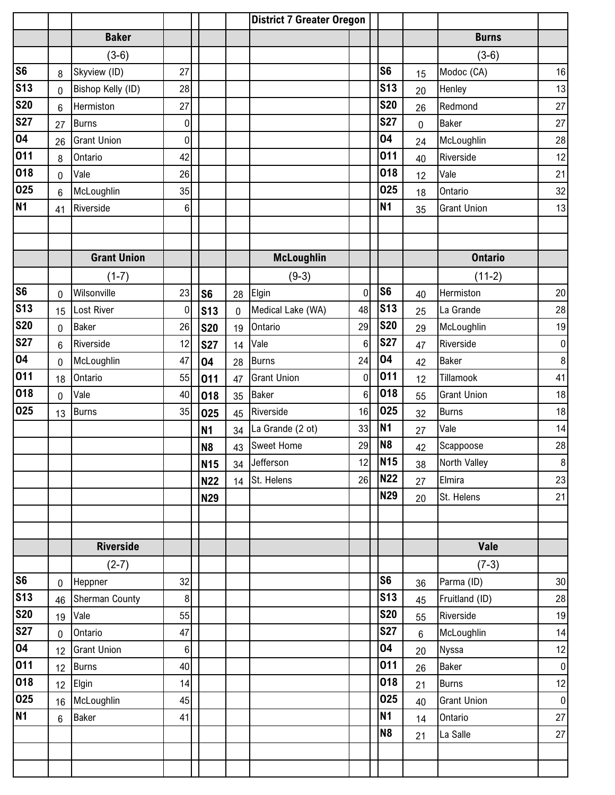|                |                 |                       |                |                |             | <b>District 7 Greater Oregon</b> |                 |                 |                |                    |                |
|----------------|-----------------|-----------------------|----------------|----------------|-------------|----------------------------------|-----------------|-----------------|----------------|--------------------|----------------|
|                |                 | <b>Baker</b>          |                |                |             |                                  |                 |                 |                | <b>Burns</b>       |                |
|                |                 | $(3-6)$               |                |                |             |                                  |                 |                 |                | $(3-6)$            |                |
| S <sub>6</sub> | 8               | Skyview (ID)          | 27             |                |             |                                  |                 | S <sub>6</sub>  | 15             | Modoc (CA)         | 16             |
| <b>S13</b>     | 0               | Bishop Kelly (ID)     | 28             |                |             |                                  |                 | <b>S13</b>      | 20             | Henley             | 13             |
| <b>S20</b>     | 6               | Hermiston             | 27             |                |             |                                  |                 | <b>S20</b>      | 26             | Redmond            | 27             |
| <b>S27</b>     | 27              | <b>Burns</b>          | 0              |                |             |                                  |                 | <b>S27</b>      | $\mathbf 0$    | <b>Baker</b>       | 27             |
| 04             | 26              | <b>Grant Union</b>    | $\mathbf 0$    |                |             |                                  |                 | 04              | 24             | McLoughlin         | 28             |
| 011            | 8               | Ontario               | 42             |                |             |                                  |                 | 011             | 40             | Riverside          | 12             |
| 018            | $\overline{0}$  | Vale                  | 26             |                |             |                                  |                 | 018             | 12             | Vale               | 21             |
| 025            | $6\phantom{1}6$ | McLoughlin            | 35             |                |             |                                  |                 | 025             | 18             | Ontario            | 32             |
| <b>N1</b>      | 41              | Riverside             | $6\phantom{.}$ |                |             |                                  |                 | <b>N1</b>       | 35             | <b>Grant Union</b> | 13             |
|                |                 |                       |                |                |             |                                  |                 |                 |                |                    |                |
|                |                 |                       |                |                |             |                                  |                 |                 |                |                    |                |
|                |                 | <b>Grant Union</b>    |                |                |             | <b>McLoughlin</b>                |                 |                 |                | <b>Ontario</b>     |                |
|                |                 | $(1-7)$               |                |                |             | $(9-3)$                          |                 |                 |                | $(11-2)$           |                |
| S6             | 0               | Wilsonville           | 23             | S <sub>6</sub> | 28          | Elgin                            | $\mathbf 0$     | S <sub>6</sub>  | 40             | Hermiston          | $20\,$         |
| <b>S13</b>     | 15              | Lost River            | 0              | <b>S13</b>     | $\mathbf 0$ | Medical Lake (WA)                | 48              | <b>S13</b>      | 25             | La Grande          | 28             |
| <b>S20</b>     | 0               | <b>Baker</b>          | 26             | <b>S20</b>     | 19          | Ontario                          | 29              | <b>S20</b>      | 29             | McLoughlin         | $19$           |
| <b>S27</b>     | 6               | Riverside             | 12             | <b>S27</b>     | 14          | Vale                             | $6\phantom{a}$  | <b>S27</b>      | 47             | Riverside          | $\pmb{0}$      |
| 04             | 0               | McLoughlin            | 47             | 04             | 28          | <b>Burns</b>                     | 24              | 04              | 42             | <b>Baker</b>       | $\, 8$         |
| 011            | 18              | Ontario               | 55             | 011            | 47          | <b>Grant Union</b>               | $\mathbf 0$     | 011             | 12             | Tillamook          | 41             |
| 018            | 0               | Vale                  | 40             | 018            | 35          | <b>Baker</b>                     | $6\phantom{1}6$ | 018             | 55             | <b>Grant Union</b> | 18             |
| 025            | 13              | <b>Burns</b>          | 35             | 025            | 45          | Riverside                        | 16              | 025             | 32             | <b>Burns</b>       | 18             |
|                |                 |                       |                | <b>N1</b>      | 34          | La Grande (2 ot)                 | 33              | <b>N1</b>       | 27             | Vale               | 14             |
|                |                 |                       |                | N <sub>8</sub> | 43          | <b>Sweet Home</b>                | 29              | N <sub>8</sub>  | 42             | Scappoose          | 28             |
|                |                 |                       |                | <b>N15</b>     |             | 34 Jefferson                     | 12              | N <sub>15</sub> | 38             | North Valley       | $\overline{8}$ |
|                |                 |                       |                | <b>N22</b>     | 14          | St. Helens                       | 26              | <b>N22</b>      | 27             | Elmira             | 23             |
|                |                 |                       |                | <b>N29</b>     |             |                                  |                 | <b>N29</b>      | 20             | St. Helens         | 21             |
|                |                 |                       |                |                |             |                                  |                 |                 |                |                    |                |
|                |                 |                       |                |                |             |                                  |                 |                 |                |                    |                |
|                |                 | <b>Riverside</b>      |                |                |             |                                  |                 |                 |                | Vale               |                |
|                |                 | $(2-7)$               |                |                |             |                                  |                 |                 |                | $(7-3)$            |                |
| <b>S6</b>      | $\mathbf 0$     | Heppner               | 32             |                |             |                                  |                 | S <sub>6</sub>  | 36             | Parma (ID)         | $30\,$         |
| <b>S13</b>     | 46              | <b>Sherman County</b> | $\bf 8$        |                |             |                                  |                 | <b>S13</b>      | 45             | Fruitland (ID)     | 28             |
| <b>S20</b>     | 19              | Vale                  | 55             |                |             |                                  |                 | <b>S20</b>      | 55             | Riverside          | 19             |
| <b>S27</b>     | $\mathbf 0$     | Ontario               | 47             |                |             |                                  |                 | <b>S27</b>      | $6\phantom{a}$ | McLoughlin         | 14             |
| 04             | 12              | <b>Grant Union</b>    | $6\phantom{.}$ |                |             |                                  |                 | 04              | 20             | <b>Nyssa</b>       | 12             |
| 011            | 12              | <b>Burns</b>          | 40             |                |             |                                  |                 | 011             | 26             | Baker              | $\pmb{0}$      |
| 018            | 12              | Elgin                 | 14             |                |             |                                  |                 | 018             | 21             | <b>Burns</b>       | 12             |
| 025            | 16              | McLoughlin            | 45             |                |             |                                  |                 | 025             | 40             | <b>Grant Union</b> | $\mathbf 0$    |
| <b>N1</b>      | $6\phantom{1}$  | <b>Baker</b>          | 41             |                |             |                                  |                 | <b>N1</b>       | 14             | Ontario            | 27             |
|                |                 |                       |                |                |             |                                  |                 | N <sub>8</sub>  | 21             | La Salle           | 27             |
|                |                 |                       |                |                |             |                                  |                 |                 |                |                    |                |
|                |                 |                       |                |                |             |                                  |                 |                 |                |                    |                |